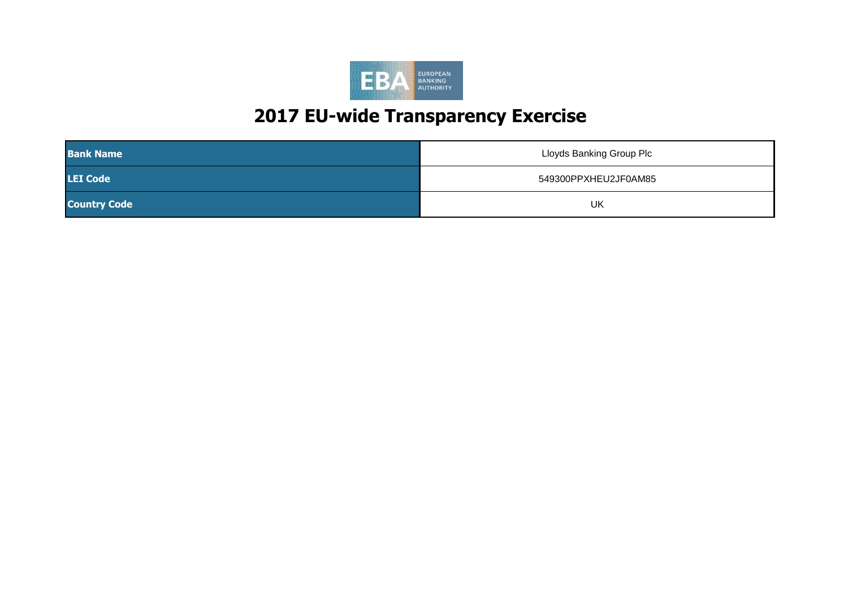

| <b>Bank Name</b>    | Lloyds Banking Group Plc |
|---------------------|--------------------------|
| <b>LEI</b> Code     | 549300PPXHEU2JF0AM85     |
| <b>Country Code</b> | UK                       |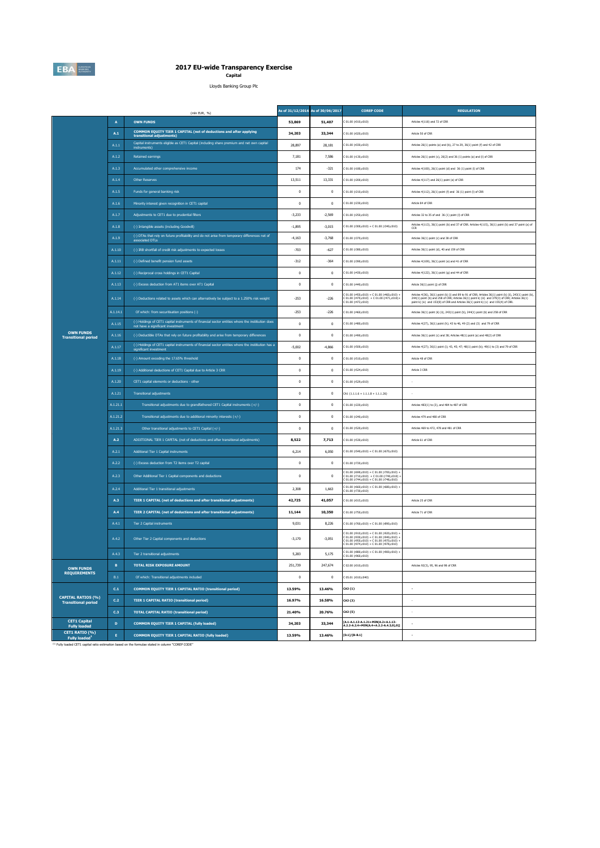

# **2017 EU-wide Transparency Exercise Capital**

Lloyds Banking Group Plc

|                                                         | (mln EUR, %)            |                                                                                                                                        |              | As of 31/12/2016 As of 30/06/2017 | <b>COREP CODE</b>                                                                                                                                                                            | <b>REGULATION</b>                                                                                                                                                                                                                                                                                              |
|---------------------------------------------------------|-------------------------|----------------------------------------------------------------------------------------------------------------------------------------|--------------|-----------------------------------|----------------------------------------------------------------------------------------------------------------------------------------------------------------------------------------------|----------------------------------------------------------------------------------------------------------------------------------------------------------------------------------------------------------------------------------------------------------------------------------------------------------------|
|                                                         | $\mathbf{A}$            | <b>OWN FUNDS</b>                                                                                                                       | 53,869       | 51,407                            | 01.00 (r010, c010)                                                                                                                                                                           | Articles 4(118) and 72 of CRR                                                                                                                                                                                                                                                                                  |
|                                                         | A.1                     | COMMON EQUITY TIER 1 CAPITAL (net of deductions and after applying<br>transitional adjustments)                                        | 34,203       | 33,344                            | C 01.00 (r020,c010)                                                                                                                                                                          | Article 50 of CRR                                                                                                                                                                                                                                                                                              |
|                                                         | A.1.1                   | Capital instruments eligible as CET1 Capital (including share premium and net own capital<br>instruments)                              | 28,897       | 28,181                            | C 01.00 (r030,c010)                                                                                                                                                                          | Articles 26(1) points (a) and (b), 27 to 29, 36(1) point (f) and 42 of CRR                                                                                                                                                                                                                                     |
|                                                         | A.1.2                   | Retained earnings                                                                                                                      | 7,181        | 7,586                             | C 01.00 (r130,c010)                                                                                                                                                                          | Articles 26(1) point (c), 26(2) and 36 (1) points (a) and (f) of CRR                                                                                                                                                                                                                                           |
|                                                         | A.1.3                   | Accumulated other comprehensive income                                                                                                 | 174          | $-321$                            | C 01.00 (r180,c010)                                                                                                                                                                          | Articles 4(100), 26(1) point (d) and 36 (1) point (l) of CRR                                                                                                                                                                                                                                                   |
|                                                         | A.1.4                   | <b>Other Reserves</b>                                                                                                                  | 13,511       | 13,331                            | C 01.00 (r200,c010)                                                                                                                                                                          | Articles 4(117) and 26(1) point (e) of CRR                                                                                                                                                                                                                                                                     |
|                                                         | A.1.5                   | Funds for general banking risk                                                                                                         | $\mathbf 0$  | $\,0\,$                           | C 01.00 (r210,c010)                                                                                                                                                                          | Articles 4(112), 26(1) point (f) and 36 (1) point (l) of CRR                                                                                                                                                                                                                                                   |
|                                                         | A.1.6                   | Minority interest given recognition in CET1 capital                                                                                    | $\mathbf{0}$ | $\mathbf{0}$                      | C 01.00 (r230,c010)                                                                                                                                                                          | Article 84 of CRR                                                                                                                                                                                                                                                                                              |
|                                                         | A.1.7                   | Adjustments to CET1 due to prudential filters                                                                                          | $-3.233$     | $-2.569$                          | C 01.00 (r250.c010)                                                                                                                                                                          | Articles 32 to 35 of and 36 (1) point (1) of CRR                                                                                                                                                                                                                                                               |
|                                                         | $A.1.8$                 | (-) Intangible assets (including Goodwill)                                                                                             | $-1,895$     | $-3,015$                          | $C 01.00 (r300, c010) + C 01.00 (r340, c010)$                                                                                                                                                | Articles 4(113), 36(1) point (b) and 37 of CRR. Articles 4(115), 36(1) point (b) and 37 point (a) of<br>CCR                                                                                                                                                                                                    |
|                                                         | A.1.9                   | (-) DTAs that rely on future profitability and do not arise from temporary differences net of<br>associated DTLs                       | $-4,163$     | $-3,768$                          | C 01.00 (r370.c010)                                                                                                                                                                          | Articles 36(1) point (c) and 38 of CRR                                                                                                                                                                                                                                                                         |
|                                                         | A.1.10                  | (-) IRB shortfall of credit risk adjustments to expected losses                                                                        | $-703$       | $-627$                            | C 01.00 (r380,c010)                                                                                                                                                                          | Articles 36(1) point (d), 40 and 159 of CRR                                                                                                                                                                                                                                                                    |
|                                                         | A.1.11                  | (-) Defined benefit pension fund assets                                                                                                | $-312$       | $-364$                            | C 01.00 (r390,c010)                                                                                                                                                                          | Articles 4(109), 36(1) point (e) and 41 of CRR                                                                                                                                                                                                                                                                 |
|                                                         | A.1.12                  | (-) Reciprocal cross holdings in CET1 Capital                                                                                          | $\bf{0}$     | $\,0\,$                           | 01.00 (r430,c010)                                                                                                                                                                            | Articles 4(122), 36(1) point (g) and 44 of CRR                                                                                                                                                                                                                                                                 |
|                                                         | A.1.13                  | (-) Excess deduction from AT1 items over AT1 Capital                                                                                   | $\mathbf{0}$ | $\mathbf{0}$                      | C 01.00 (r440,c010)                                                                                                                                                                          | Article 36(1) point (j) of CRR                                                                                                                                                                                                                                                                                 |
|                                                         | A.1.14                  | (-) Deductions related to assets which can alternatively be subject to a 1.250% risk weight                                            | $-253$       | $-226$                            | $201.00$ (r450,c010) + C 01.00 (r460,c010) +<br>$C 01.00 (r470, c010) + C 01.00 (r471, c010) +$<br>01.00 (r472,c010)                                                                         | Articles 4(36), 36(1) point (k) (i) and 89 to 91 of CRR; Articles 36(1) point (k) (i), 243(1) point (b),<br>$244(1)$ point (b) and $258$ of CRR; Articles $36(1)$ point k) (ii) and $379(3)$ of CRR; Articles $36(1)$ point k) (iv) and $153(8)$ of CRR and Articles $36(1)$ point k) (v) and $155(4)$ of CRR. |
|                                                         | A.1.14.1                | Of which: from securitisation positions (-)                                                                                            | $-253$       | $-226$                            | C 01.00 (r460,c010)                                                                                                                                                                          | Articles 36(1) point (k) (ii), 243(1) point (b), 244(1) point (b) and 258 of CRR                                                                                                                                                                                                                               |
|                                                         | A.1.15                  | (-) Holdings of CET1 capital instruments of financial sector entities where the institiution does<br>not have a significant investment | $\mathbf{0}$ | $\mathbf{0}$                      | C 01.00 (r480,c010)                                                                                                                                                                          | Articles 4(27), 36(1) point (h); 43 to 46, 49 (2) and (3) and 79 of CRR                                                                                                                                                                                                                                        |
| <b>OWN FUNDS</b><br><b>Transitional period</b>          | A.1.16                  | (-) Deductible DTAs that rely on future profitability and arise from temporary differences                                             | $\,0\,$      | $\,0\,$                           | C 01.00 (r490,c010)                                                                                                                                                                          | Articles 36(1) point (c) and 38; Articles 48(1) point (a) and 48(2) of CRR                                                                                                                                                                                                                                     |
|                                                         | A.1.17                  | (-) Holdings of CET1 capital instruments of financial sector entities where the institiution has a<br>significant investment           | $-5,002$     | $-4,866$                          | C 01.00 (r500,c010)                                                                                                                                                                          | Articles 4(27); 36(1) point (i); 43, 45; 47; 48(1) point (b); 49(1) to (3) and 79 of CRR                                                                                                                                                                                                                       |
|                                                         | A.1.18                  | (-) Amount exceding the 17.65% threshold                                                                                               | $\mathbf{0}$ | $\mathbf{0}$                      | C 01.00 (r510,c010)                                                                                                                                                                          | Article 48 of CRR                                                                                                                                                                                                                                                                                              |
|                                                         | A.1.19                  | (-) Additional deductions of CET1 Capital due to Article 3 CRR                                                                         | $\,0\,$      | $\,0\,$                           | C 01.00 (r524,c010)                                                                                                                                                                          | Article 3 CRR                                                                                                                                                                                                                                                                                                  |
|                                                         | A.1.20                  | CET1 capital elements or deductions - other                                                                                            | $\,0\,$      | $\,0\,$                           | 01.00 (r529,c010)                                                                                                                                                                            |                                                                                                                                                                                                                                                                                                                |
|                                                         | A.1.21                  | <b>Transitional adjustments</b>                                                                                                        | $\mathbf{0}$ | $\mathbf{0}$                      | $CA1$ {1.1.1.6 + 1.1.1.8 + 1.1.1.26}                                                                                                                                                         |                                                                                                                                                                                                                                                                                                                |
|                                                         | A.1.21.1                | Transitional adjustments due to grandfathered CET1 Capital instruments (+/-)                                                           | $\,0\,$      | $\,0\,$                           | C 01.00 (r220,c010)                                                                                                                                                                          | Articles 483(1) to (3), and 484 to 487 of CRR                                                                                                                                                                                                                                                                  |
|                                                         | A.1.21.2                | Transitional adjustments due to additional minority interests (+/-)                                                                    | $\,0\,$      | $\,0\,$                           | C 01.00 (r240,c010)                                                                                                                                                                          | Articles 479 and 480 of CRR                                                                                                                                                                                                                                                                                    |
|                                                         | A.1.21.3                | Other transitional adjustments to CET1 Capital (+/-)                                                                                   | $\mathbf 0$  | $^{\circ}$                        | C 01.00 (r520,c010)                                                                                                                                                                          | Articles 469 to 472, 478 and 481 of CRR                                                                                                                                                                                                                                                                        |
|                                                         | A.2                     | ADDITIONAL TIER 1 CAPITAL (net of deductions and after transitional adjustments)                                                       | 8,522        | 7,713                             | C 01.00 (r530,c010)                                                                                                                                                                          | Article 61 of CRR                                                                                                                                                                                                                                                                                              |
|                                                         | A.2.1                   | Additional Tier 1 Capital instruments                                                                                                  | 6,214        | 6,050                             | 01.00 (r540,c010) + C 01.00 (r670,c010)                                                                                                                                                      |                                                                                                                                                                                                                                                                                                                |
|                                                         | A.2.2                   | (-) Excess deduction from T2 items over T2 capital                                                                                     | $\mathbf 0$  | $\,0\,$                           | C 01.00 (r720,c010)                                                                                                                                                                          |                                                                                                                                                                                                                                                                                                                |
|                                                         | A.2.3                   | Other Additional Tier 1 Capital components and deductions                                                                              | $\mathbf 0$  | $\,0\,$                           | : 01.00 (r690,c010) + C 01.00 (r700,c010) +<br>: 01.00 (r710,c010) + C 01.00 (r740,c010) +<br>$(01.00 (r744.c010) + C 01.00 (r748.c010))$                                                    |                                                                                                                                                                                                                                                                                                                |
|                                                         | A.2.4                   | Additional Tier 1 transitional adjustments                                                                                             | 2,308        | 1,663                             | C 01.00 (r660,c010) + C 01.00 (r680,c010) +<br>01.00 (r730,c010)                                                                                                                             |                                                                                                                                                                                                                                                                                                                |
|                                                         | A.3                     | <b>TIER 1 CAPITAL (net of deductions and after transitional adjustments)</b>                                                           | 42,725       | 41.057                            | C 01.00 (r015,c010)                                                                                                                                                                          | Article 25 of CRR                                                                                                                                                                                                                                                                                              |
|                                                         | A.4                     | TIER 2 CAPITAL (net of deductions and after transitional adjustments)                                                                  | 11,144       | 10,350                            | 01.00 (r750,c010)                                                                                                                                                                            | Article 71 of CRR                                                                                                                                                                                                                                                                                              |
|                                                         | A.4.1                   | Tier 2 Capital instruments                                                                                                             | 9,031        | 8,226                             | $C 01.00 (r760, c010) + C 01.00 (r890, c010)$                                                                                                                                                |                                                                                                                                                                                                                                                                                                                |
|                                                         | A.4.2                   | Other Tier 2 Capital components and deductions                                                                                         | $-3,170$     | $-3,051$                          | $C 01.00 (r910, c010) + C 01.00 (r920, c010) +$<br>$0.0100$ (read c010) + C 01.00 (read c010) +<br>$(201.00 (r950, c010) + (01.00 (r970, c010) + (01.00 (r970, c010) + (01.00 (r970, c010))$ |                                                                                                                                                                                                                                                                                                                |
|                                                         | A.4.3                   | Tier 2 transitional adjustments                                                                                                        | 5,283        | 5,175                             | C 01.00 (r880,c010) + C 01.00 (r900,c010) +<br>01.00 (r960,c010)                                                                                                                             |                                                                                                                                                                                                                                                                                                                |
| <b>OWN FUNDS</b>                                        | $\mathbf{B}$            | <b>TOTAL RISK EXPOSURE AMOUNT</b>                                                                                                      | 251,739      | 247.674                           | C 02.00 (r010.c010)                                                                                                                                                                          | Articles 92(3), 95, 96 and 98 of CRR                                                                                                                                                                                                                                                                           |
| <b>REQUIREMENTS</b>                                     | B.1                     | Of which: Transitional adjustments included                                                                                            | $\mathbf 0$  | $\mathbf{0}$                      | C 05.01 (r010;c040)                                                                                                                                                                          |                                                                                                                                                                                                                                                                                                                |
|                                                         | $\mathsf{C}.\mathsf{1}$ | <b>COMMON EQUITY TIER 1 CAPITAL RATIO (transitional period)</b>                                                                        | 13.59%       | 13.46%                            | CA3 (1)                                                                                                                                                                                      | $\sim$                                                                                                                                                                                                                                                                                                         |
| <b>CAPITAL RATIOS (%)</b><br><b>Transitional period</b> | C.2                     | <b>TIER 1 CAPITAL RATIO (transitional period)</b>                                                                                      | 16.97%       | 16.58%                            | CA3 (3)                                                                                                                                                                                      | $\sim$                                                                                                                                                                                                                                                                                                         |
|                                                         | C.3                     | <b>TOTAL CAPITAL RATIO (transitional period)</b>                                                                                       | 21.40%       | 20.76%                            | CA3 (5)                                                                                                                                                                                      |                                                                                                                                                                                                                                                                                                                |
| <b>CET1 Capital</b><br>Fully loaded                     | $\mathbf D$             | COMMON EQUITY TIER 1 CAPITAL (fully loaded)                                                                                            | 34,203       | 33,344                            | [A.1-A.1.13-A.1.21+MIN(A.2+A.1.13-                                                                                                                                                           |                                                                                                                                                                                                                                                                                                                |
| CET1 RATIO (%)<br><b>Fully loaded</b>                   | E.                      | COMMON EQUITY TIER 1 CAPITAL RATIO (fully loaded)                                                                                      | 13.59%       | 13.46%                            | $[D.1]/[B-B.1]$                                                                                                                                                                              |                                                                                                                                                                                                                                                                                                                |

(1) Fully loaded CET1 capital ratio estimation based on the formulae stated in column "COREP CODE"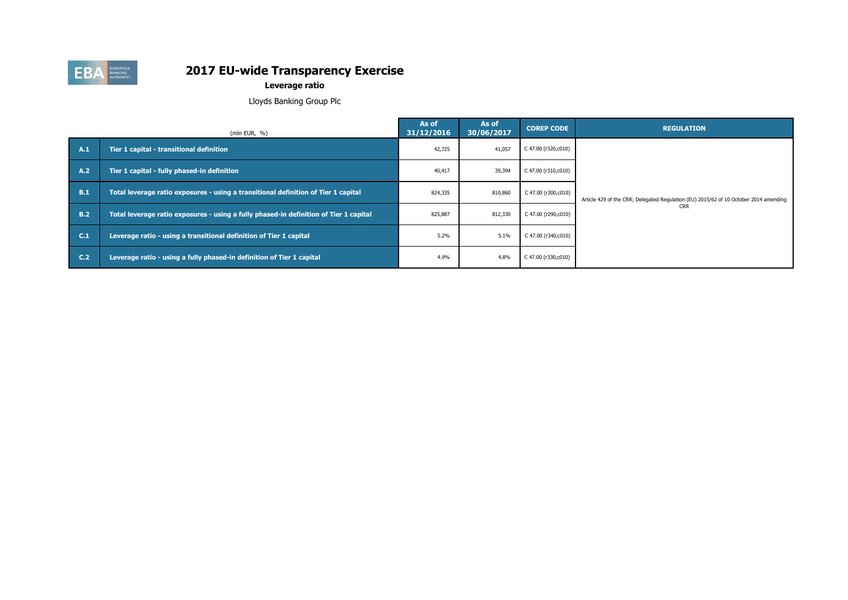

**Leverage ratio**

Lloyds Banking Group Plc

|                | (mln EUR, $%$ )                                                                       | As of<br>31/12/2016 | As of<br>30/06/2017 | <b>COREP CODE</b>   | <b>REGULATION</b>                                                                     |
|----------------|---------------------------------------------------------------------------------------|---------------------|---------------------|---------------------|---------------------------------------------------------------------------------------|
| A.1            | Tier 1 capital - transitional definition                                              | 42,725              | 41,057              | C 47.00 (r320,c010) |                                                                                       |
| A.2            | Tier 1 capital - fully phased-in definition                                           | 40,417              | 39,394              | C 47.00 (r310,c010) |                                                                                       |
| B.1            | Total leverage ratio exposures - using a transitional definition of Tier 1 capital    | 824,335             | 810,860             | C 47.00 (r300,c010) | Article 429 of the CRR; Delegated Regulation (EU) 2015/62 of 10 October 2014 amending |
| <b>B.2</b>     | Total leverage ratio exposures - using a fully phased-in definition of Tier 1 capital | 825,887             | 812,330             | C 47.00 (r290,c010) | <b>CRR</b>                                                                            |
| C.1            | Leverage ratio - using a transitional definition of Tier 1 capital                    | 5.2%                | 5.1%                | C 47.00 (r340,c010) |                                                                                       |
| C <sub>2</sub> | Leverage ratio - using a fully phased-in definition of Tier 1 capital                 | 4.9%                | 4.8%                | C 47.00 (r330,c010) |                                                                                       |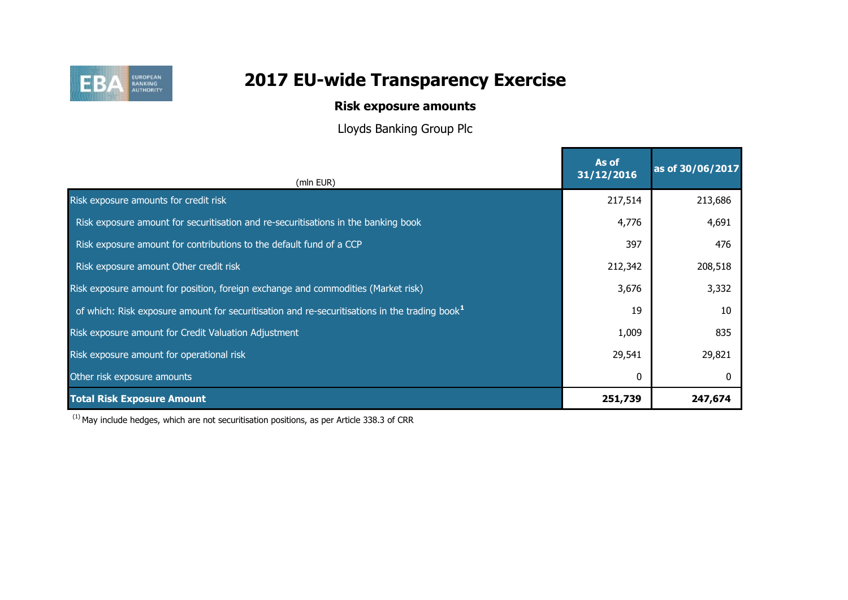

# **Risk exposure amounts**

Lloyds Banking Group Plc

| (mln EUR)                                                                                                 | As of<br>31/12/2016 | as of 30/06/2017 |
|-----------------------------------------------------------------------------------------------------------|---------------------|------------------|
| Risk exposure amounts for credit risk                                                                     | 217,514             | 213,686          |
| Risk exposure amount for securitisation and re-securitisations in the banking book                        | 4,776               | 4,691            |
| Risk exposure amount for contributions to the default fund of a CCP                                       | 397                 | 476              |
| Risk exposure amount Other credit risk                                                                    | 212,342             | 208,518          |
| Risk exposure amount for position, foreign exchange and commodities (Market risk)                         | 3,676               | 3,332            |
| of which: Risk exposure amount for securitisation and re-securitisations in the trading book <sup>1</sup> | 19                  | 10               |
| Risk exposure amount for Credit Valuation Adjustment                                                      | 1,009               | 835              |
| Risk exposure amount for operational risk                                                                 | 29,541              | 29,821           |
| Other risk exposure amounts                                                                               | 0                   |                  |
| <b>Total Risk Exposure Amount</b>                                                                         | 251,739             | 247,674          |

 $(1)$  May include hedges, which are not securitisation positions, as per Article 338.3 of CRR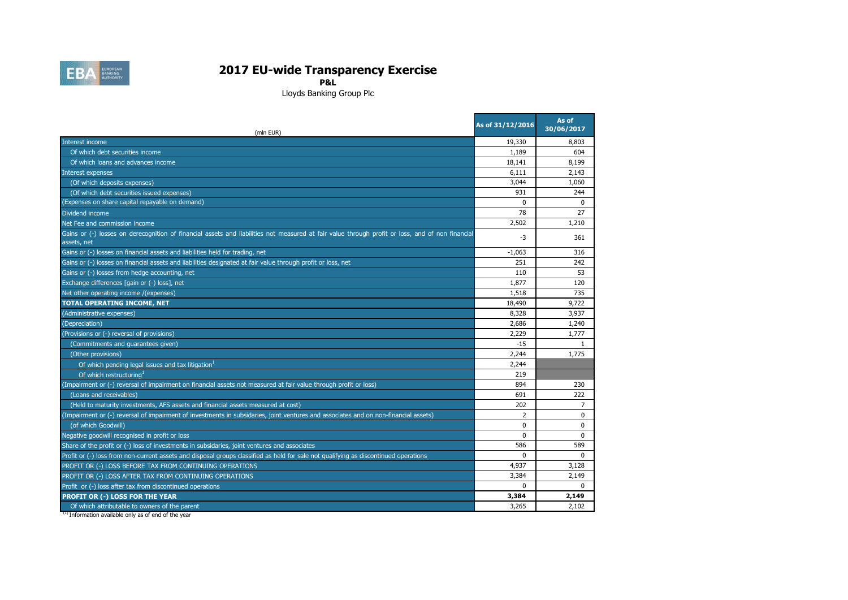

**P&L**

Lloyds Banking Group Plc

and the con-

| (mln EUR)                                                                                                                                                       | As of 31/12/2016 | As of<br>30/06/2017 |
|-----------------------------------------------------------------------------------------------------------------------------------------------------------------|------------------|---------------------|
| Interest income                                                                                                                                                 | 19,330           | 8,803               |
| Of which debt securities income                                                                                                                                 | 1,189            | 604                 |
| Of which loans and advances income                                                                                                                              | 18,141           | 8,199               |
| <b>Interest expenses</b>                                                                                                                                        | 6,111            | 2,143               |
| (Of which deposits expenses)                                                                                                                                    | 3,044            | 1,060               |
| (Of which debt securities issued expenses)                                                                                                                      | 931              | 244                 |
| (Expenses on share capital repayable on demand)                                                                                                                 | $\Omega$         | $\Omega$            |
| Dividend income                                                                                                                                                 | 78               | 27                  |
| Net Fee and commission income                                                                                                                                   | 2,502            | 1,210               |
| Gains or (-) losses on derecognition of financial assets and liabilities not measured at fair value through profit or loss, and of non financial<br>assets, net | $-3$             | 361                 |
| Gains or (-) losses on financial assets and liabilities held for trading, net                                                                                   | $-1.063$         | 316                 |
| Gains or (-) losses on financial assets and liabilities designated at fair value through profit or loss, net                                                    | 251              | 242                 |
| Gains or (-) losses from hedge accounting, net                                                                                                                  | 110              | 53                  |
| Exchange differences [gain or (-) loss], net                                                                                                                    | 1,877            | 120                 |
| Net other operating income /(expenses)                                                                                                                          | 1,518            | 735                 |
| <b>TOTAL OPERATING INCOME, NET</b>                                                                                                                              | 18,490           | 9,722               |
| (Administrative expenses)                                                                                                                                       | 8,328            | 3,937               |
| (Depreciation)                                                                                                                                                  | 2,686            | 1,240               |
| (Provisions or (-) reversal of provisions)                                                                                                                      | 2,229            | 1.777               |
| (Commitments and guarantees given)                                                                                                                              | $-15$            |                     |
| (Other provisions)                                                                                                                                              | 2,244            | 1.775               |
| Of which pending legal issues and tax litigation                                                                                                                | 2,244            |                     |
| Of which restructuring <sup>1</sup>                                                                                                                             | 219              |                     |
| (Impairment or (-) reversal of impairment on financial assets not measured at fair value through profit or loss)                                                | 894              | 230                 |
| (Loans and receivables)                                                                                                                                         | 691              | 222                 |
| (Held to maturity investments, AFS assets and financial assets measured at cost)                                                                                | 202              | 7                   |
| (Impairment or (-) reversal of impairment of investments in subsidaries, joint ventures and associates and on non-financial assets)                             | 2                | $\Omega$            |
| (of which Goodwill)                                                                                                                                             | $\Omega$         | $\Omega$            |
| Negative goodwill recognised in profit or loss                                                                                                                  | $\Omega$         | $\Omega$            |
| Share of the profit or (-) loss of investments in subsidaries, joint ventures and associates                                                                    | 586              | 589                 |
| Profit or (-) loss from non-current assets and disposal groups classified as held for sale not qualifying as discontinued operations                            | $\Omega$         | $\Omega$            |
| PROFIT OR (-) LOSS BEFORE TAX FROM CONTINUING OPERATIONS                                                                                                        | 4.937            | 3,128               |
| PROFIT OR (-) LOSS AFTER TAX FROM CONTINUING OPERATIONS                                                                                                         | 3,384            | 2,149               |
| Profit or (-) loss after tax from discontinued operations                                                                                                       | $\Omega$         | $\Omega$            |
| <b>PROFIT OR (-) LOSS FOR THE YEAR</b>                                                                                                                          | 3,384            | 2,149               |
| Of which attributable to owners of the parent                                                                                                                   | 3,265            | 2,102               |

(1) Information available only as of end of the year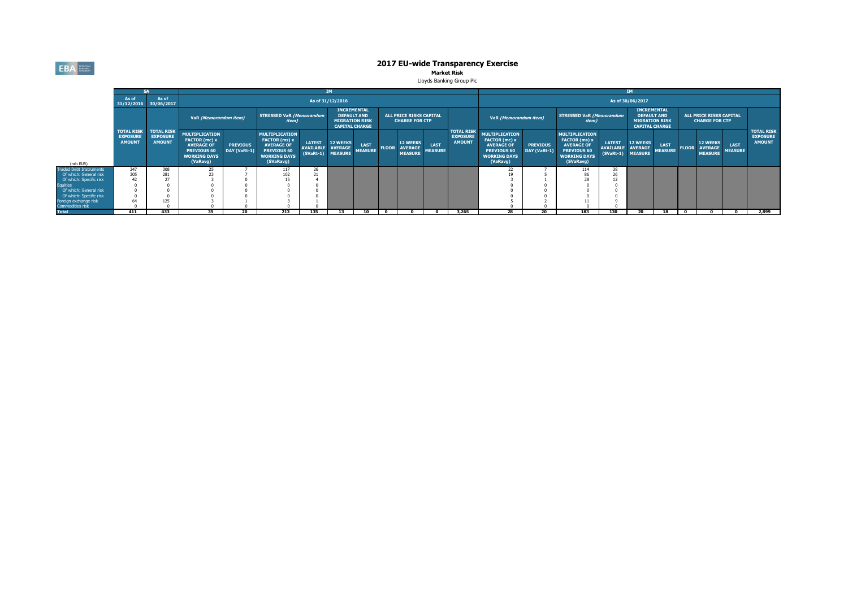**EBA** EUROPEAN

# **2017 EU-wide Transparency Exercise**<br>Market Risk

Lloyds Banking Group Plc

|                                           |                                                       |                                                       |                                                                                                               |                                 |                                                                                                                |                                   |                                                                                            |                               |              | <b>IM</b>                                           |                        |                                                       |                                                                                                                      |                                 |                                                                                                                       |                                                        |                                                                                            |                               |              |                                                         |                        |                                                       |
|-------------------------------------------|-------------------------------------------------------|-------------------------------------------------------|---------------------------------------------------------------------------------------------------------------|---------------------------------|----------------------------------------------------------------------------------------------------------------|-----------------------------------|--------------------------------------------------------------------------------------------|-------------------------------|--------------|-----------------------------------------------------|------------------------|-------------------------------------------------------|----------------------------------------------------------------------------------------------------------------------|---------------------------------|-----------------------------------------------------------------------------------------------------------------------|--------------------------------------------------------|--------------------------------------------------------------------------------------------|-------------------------------|--------------|---------------------------------------------------------|------------------------|-------------------------------------------------------|
|                                           | As of                                                 | As of<br>31/12/2016 30/06/2017                        |                                                                                                               |                                 |                                                                                                                |                                   | As of 31/12/2016                                                                           |                               |              |                                                     |                        |                                                       |                                                                                                                      |                                 |                                                                                                                       |                                                        | As of 30/06/2017                                                                           |                               |              |                                                         |                        |                                                       |
|                                           |                                                       |                                                       | VaR (Memorandum item)                                                                                         |                                 | <b>STRESSED VaR (Memorandum</b><br><i>item</i> )                                                               |                                   | <b>INCREMENTAL</b><br><b>DEFAULT AND</b><br><b>MIGRATION RISK</b><br><b>CAPITAL CHARGE</b> |                               |              | ALL PRICE RISKS CAPITAL<br><b>CHARGE FOR CTP</b>    |                        |                                                       | VaR (Memorandum item)                                                                                                |                                 | <b>STRESSED VaR (Memorandum</b><br>item)                                                                              |                                                        | <b>INCREMENTAL</b><br><b>DEFAULT AND</b><br><b>MIGRATION RISK</b><br><b>CAPITAL CHARGE</b> |                               |              | <b>ALL PRICE RISKS CAPITAL</b><br><b>CHARGE FOR CTP</b> |                        |                                                       |
| (mln EUR)                                 | <b>TOTAL RISK</b><br><b>EXPOSURE</b><br><b>AMOUNT</b> | <b>TOTAL RISK</b><br><b>EXPOSURE</b><br><b>AMOUNT</b> | <b>MULTIPLICATION</b><br>FACTOR (mc) x<br><b>AVERAGE OF</b><br>PREVIOUS 60<br><b>WORKING DAYS</b><br>(VaRavg) | <b>PREVIOUS</b><br>DAY (VaRt-1) | <b>MULTIPLICATION</b><br>FACTOR (ms) x<br><b>AVERAGE OF</b><br>PREVIOUS 60<br><b>WORKING DAYS</b><br>(SVaRavg) | <b>LATEST</b><br><b>AVAILABLE</b> | <b>12 WEEKS</b><br><b>AVERAGE</b><br>(SVaRt-1) MEASURE                                     | <b>LAST</b><br><b>MEASURE</b> | <b>FLOOR</b> | <b>12 WEEKS</b><br><b>AVERAGE</b><br><b>MEASURE</b> | LAST<br><b>MEASURE</b> | <b>TOTAL RISK</b><br><b>EXPOSURE</b><br><b>AMOUNT</b> | <b>MULTIPLICATION</b><br>FACTOR (mc) x<br><b>AVERAGE OF</b><br><b>PREVIOUS 60</b><br><b>WORKING DAYS</b><br>(VaRavg) | <b>PREVIOUS</b><br>DAY (VaRt-1) | <b>MULTIPLICATION</b><br><b>FACTOR</b> (ms) x<br><b>AVERAGE OF</b><br>PREVIOUS 60<br><b>WORKING DAYS</b><br>(SVaRavg) | <b>LATEST</b><br><b>AVAILABLE</b><br>(SVaRt-1) MEASURE | <b>12 WEEKS</b><br><b>AVERAGE</b>                                                          | <b>LAST</b><br><b>MEASURE</b> | <b>FLOOR</b> | <b>12 WEEKS</b><br><b>AVERAGE</b><br><b>MEASURE</b>     | LAST<br><b>MEASURE</b> | <b>TOTAL RISK</b><br><b>EXPOSURE</b><br><b>AMOUNT</b> |
| <b>Fraded Debt Instruments</b>            | 347                                                   | 308                                                   |                                                                                                               |                                 | 117                                                                                                            |                                   |                                                                                            |                               |              |                                                     |                        |                                                       |                                                                                                                      |                                 | 114                                                                                                                   |                                                        |                                                                                            |                               |              |                                                         |                        |                                                       |
| Of which: General risk                    | 305                                                   | 281                                                   |                                                                                                               |                                 | 102                                                                                                            |                                   |                                                                                            |                               |              |                                                     |                        |                                                       |                                                                                                                      |                                 | 86                                                                                                                    |                                                        |                                                                                            |                               |              |                                                         |                        |                                                       |
| Of which: Specific risk                   |                                                       |                                                       |                                                                                                               |                                 |                                                                                                                |                                   |                                                                                            |                               |              |                                                     |                        |                                                       |                                                                                                                      |                                 | 28                                                                                                                    |                                                        |                                                                                            |                               |              |                                                         |                        |                                                       |
| <b>Equities</b>                           |                                                       |                                                       |                                                                                                               |                                 |                                                                                                                |                                   |                                                                                            |                               |              |                                                     |                        |                                                       |                                                                                                                      |                                 |                                                                                                                       |                                                        |                                                                                            |                               |              |                                                         |                        |                                                       |
| Of which: General risk                    |                                                       |                                                       |                                                                                                               |                                 |                                                                                                                |                                   |                                                                                            |                               |              |                                                     |                        |                                                       |                                                                                                                      |                                 |                                                                                                                       |                                                        |                                                                                            |                               |              |                                                         |                        |                                                       |
| Of which: Specific risk                   |                                                       |                                                       |                                                                                                               |                                 |                                                                                                                |                                   |                                                                                            |                               |              |                                                     |                        |                                                       |                                                                                                                      |                                 |                                                                                                                       |                                                        |                                                                                            |                               |              |                                                         |                        |                                                       |
| Foreign exchange risk<br>Commodities risk |                                                       | 125                                                   |                                                                                                               |                                 |                                                                                                                |                                   |                                                                                            |                               |              |                                                     |                        |                                                       |                                                                                                                      |                                 |                                                                                                                       |                                                        |                                                                                            |                               |              |                                                         |                        |                                                       |
| <b>Total</b>                              | 411                                                   | 433                                                   | 35                                                                                                            | 20                              | 213                                                                                                            | 135                               | 13                                                                                         | 10                            |              |                                                     |                        | 3,265                                                 | 28                                                                                                                   | 20                              | 183                                                                                                                   | 130                                                    | 20                                                                                         | 18                            |              |                                                         |                        | 2,899                                                 |
|                                           |                                                       |                                                       |                                                                                                               |                                 |                                                                                                                |                                   |                                                                                            |                               |              |                                                     |                        |                                                       |                                                                                                                      |                                 |                                                                                                                       |                                                        |                                                                                            |                               |              |                                                         |                        |                                                       |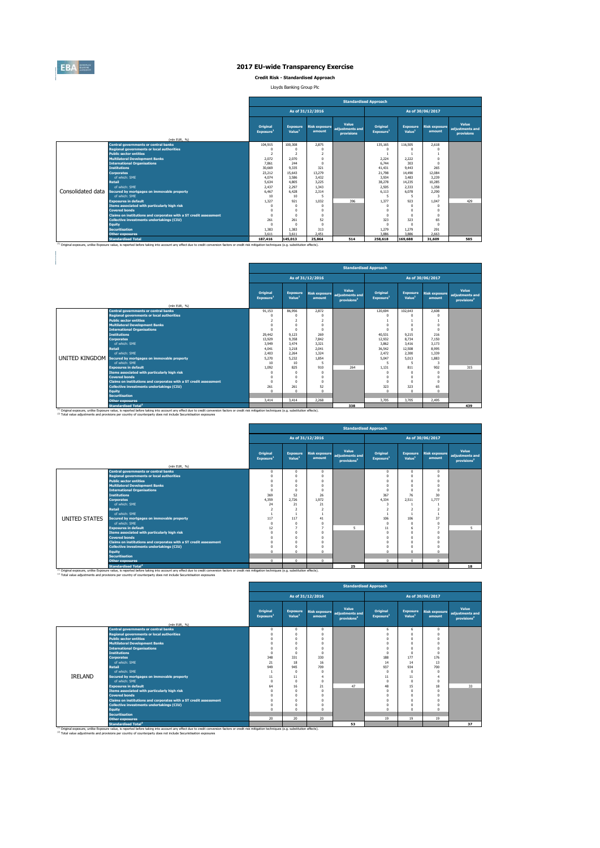

**Credit Risk - Standardised Approach**

Lloyds Banking Group Plc

|                   |                                                                                                                                                                                                                                 | <b>Standardised Approach</b>         |                                       |                                |                                        |                                   |                                       |                                |                                               |  |  |  |
|-------------------|---------------------------------------------------------------------------------------------------------------------------------------------------------------------------------------------------------------------------------|--------------------------------------|---------------------------------------|--------------------------------|----------------------------------------|-----------------------------------|---------------------------------------|--------------------------------|-----------------------------------------------|--|--|--|
|                   |                                                                                                                                                                                                                                 | As of 31/12/2016<br>As of 30/06/2017 |                                       |                                |                                        |                                   |                                       |                                |                                               |  |  |  |
|                   | (mln EUR, %)                                                                                                                                                                                                                    | <b>Original</b><br>Exposure          | <b>Exposure</b><br>Value <sup>1</sup> | <b>Risk exposure</b><br>amount | Value<br>adjustments and<br>provisions | Original<br>Exposure <sup>1</sup> | <b>Exposure</b><br>Value <sup>1</sup> | <b>Risk exposure</b><br>amount | Value<br>adjustments and<br><b>provisions</b> |  |  |  |
|                   | <b>Central governments or central banks</b>                                                                                                                                                                                     | 104.915                              | 100.308                               | 2.875                          |                                        | 135.165                           | 116,505                               | 2.618                          |                                               |  |  |  |
|                   | <b>Regional governments or local authorities</b>                                                                                                                                                                                | $\Omega$                             | n                                     | $\Omega$                       |                                        |                                   | $\Omega$                              |                                |                                               |  |  |  |
|                   | <b>Public sector entities</b>                                                                                                                                                                                                   | $\overline{z}$                       | $\overline{\phantom{a}}$              | $\overline{z}$                 |                                        |                                   |                                       |                                |                                               |  |  |  |
|                   | <b>Multilateral Development Banks</b>                                                                                                                                                                                           | 2.072                                | 2.070                                 | $^{\circ}$                     |                                        | 2.224                             | 2.222                                 | $\Omega$                       |                                               |  |  |  |
|                   | <b>International Organisations</b>                                                                                                                                                                                              | 7,861                                | 244                                   | $\Omega$                       |                                        | 6.744                             | 303                                   | $\Omega$                       |                                               |  |  |  |
|                   | <b>Institutions</b>                                                                                                                                                                                                             | 30,669                               | 9.335                                 | 321                            |                                        | 41.431                            | 9.443                                 | 265                            |                                               |  |  |  |
|                   | <b>Corporates</b>                                                                                                                                                                                                               | 23,212                               | 15.643                                | 13.279                         |                                        | 21,798                            | 14,490                                | 12.084                         |                                               |  |  |  |
|                   | of which: SMF                                                                                                                                                                                                                   | 4.074                                | 3.586                                 | 3.432                          |                                        | 3.934                             | 3.483                                 | 3.239                          |                                               |  |  |  |
|                   | <b>Retail</b>                                                                                                                                                                                                                   | 5.634                                | 4.805                                 | 3.225                          |                                        | 38,278                            | 14.235                                | 10.285                         |                                               |  |  |  |
|                   | of which: SMF                                                                                                                                                                                                                   | 2.437                                | 2.297                                 | 1.343                          |                                        | 2.505                             | 2.333                                 | 1.358                          |                                               |  |  |  |
| Consolidated data | Secured by mortgages on immovable property                                                                                                                                                                                      | 6.467                                | 6.428                                 | 2.314                          |                                        | 6.113                             | 6.078                                 | 2,290                          |                                               |  |  |  |
|                   | of which: SME                                                                                                                                                                                                                   | 10                                   | 10 <sup>°</sup>                       | 5                              |                                        | 5                                 | 5                                     | 3                              |                                               |  |  |  |
|                   | <b>Exposures in default</b>                                                                                                                                                                                                     | 1.327                                | 921                                   | 1.032                          | 396                                    | 1.377                             | 923                                   | 1.047                          | 429                                           |  |  |  |
|                   | Items associated with particularly high risk                                                                                                                                                                                    |                                      | 0                                     | $\Omega$                       |                                        |                                   | $^{\circ}$                            |                                |                                               |  |  |  |
|                   | <b>Covered bonds</b>                                                                                                                                                                                                            | $\Omega$                             | 0                                     | $\Omega$                       |                                        | $\Omega$                          | 0                                     | $\Omega$                       |                                               |  |  |  |
|                   | Claims on institutions and corporates with a ST credit assessment                                                                                                                                                               | $\Omega$                             | $\mathbf{0}$                          | $\Omega$                       |                                        | $\Omega$<br>323                   | $\Omega$<br>323                       | $\Omega$                       |                                               |  |  |  |
|                   | Collective investments undertakings (CIU)                                                                                                                                                                                       | 261                                  | 261                                   | 52                             |                                        |                                   |                                       | 65                             |                                               |  |  |  |
|                   | <b>Equity</b>                                                                                                                                                                                                                   | $\Omega$                             |                                       | $\Omega$<br>313                |                                        |                                   | n                                     | $\Omega$<br>291                |                                               |  |  |  |
|                   | <b>Securitisation</b><br><b>Other exposures</b>                                                                                                                                                                                 | 1.383<br>3.611                       | 1.383<br>3.611                        | 2.451                          |                                        | 1.279<br>3,886                    | 1.279<br>3.886                        | 2.663                          |                                               |  |  |  |
|                   |                                                                                                                                                                                                                                 |                                      |                                       |                                |                                        |                                   |                                       |                                |                                               |  |  |  |
|                   | <b>Standardised Total</b><br>(1) Original exposure, unlike Exposure value, is reported before taking into account any effect due to credit conversion factors or credit risk mitigation techniques (e.g. substitution effects). | 187.416                              | 145.013                               | 25,864                         | 514                                    | 258,618                           | 169,688                               | 31,609                         | 585                                           |  |  |  |

|                                                                                                                                                                                                                                             |                                          | <b>Standardised Approach</b>          |                                |                                                     |                                   |                                       |                                |                                                     |  |  |  |  |
|---------------------------------------------------------------------------------------------------------------------------------------------------------------------------------------------------------------------------------------------|------------------------------------------|---------------------------------------|--------------------------------|-----------------------------------------------------|-----------------------------------|---------------------------------------|--------------------------------|-----------------------------------------------------|--|--|--|--|
|                                                                                                                                                                                                                                             |                                          |                                       | As of 31/12/2016               |                                                     |                                   |                                       | As of 30/06/2017               |                                                     |  |  |  |  |
|                                                                                                                                                                                                                                             | <b>Original</b><br>Exposure <sup>1</sup> | <b>Exposure</b><br>Value <sup>1</sup> | <b>Risk exposure</b><br>amount | Value<br>adiustments and<br>provisions <sup>2</sup> | Original<br>Exposure <sup>1</sup> | <b>Exposure</b><br>Value <sup>1</sup> | <b>Risk exposure</b><br>amount | Value<br>adjustments and<br>provisions <sup>2</sup> |  |  |  |  |
| (mln EUR, %)<br><b>Central governments or central banks</b>                                                                                                                                                                                 | 91.153                                   | 86.956                                | 2.872                          |                                                     | 120.694                           | 102.643                               | 2.608                          |                                                     |  |  |  |  |
| <b>Regional governments or local authorities</b>                                                                                                                                                                                            |                                          | 0                                     | n                              |                                                     | $\Omega$                          | $\Omega$                              | $\Omega$                       |                                                     |  |  |  |  |
| <b>Public sector entities</b>                                                                                                                                                                                                               | $\overline{2}$                           | $\overline{a}$                        | ž                              |                                                     |                                   |                                       |                                |                                                     |  |  |  |  |
| <b>Multilateral Development Banks</b>                                                                                                                                                                                                       | 0                                        | $\Omega$                              | n                              |                                                     | $\Omega$                          | $\Omega$                              |                                |                                                     |  |  |  |  |
| <b>International Organisations</b>                                                                                                                                                                                                          | n                                        | $\Omega$                              | Λ                              |                                                     |                                   |                                       | $\Omega$                       |                                                     |  |  |  |  |
| <b>Institutions</b>                                                                                                                                                                                                                         | 29,442                                   | 9.123                                 | 269                            |                                                     | 40.531                            | 9.215                                 | 216                            |                                                     |  |  |  |  |
| <b>Corporates</b>                                                                                                                                                                                                                           | 13.929                                   | 9.358                                 | 7.842                          |                                                     | 12.932                            | 8.734                                 | 7.150                          |                                                     |  |  |  |  |
| of which: SMF                                                                                                                                                                                                                               | 3.949                                    | 3.474                                 | 3.321                          |                                                     | 3.862                             | 3.416                                 | 3.173                          |                                                     |  |  |  |  |
| <b>Retail</b>                                                                                                                                                                                                                               | 4.041                                    | 3.218                                 | 2.041                          |                                                     | 36.542                            | 12,508                                | 8.995                          |                                                     |  |  |  |  |
| of which: SME                                                                                                                                                                                                                               | 2.403                                    | 2.264                                 | 1.324                          |                                                     | 2.472                             | 2,300                                 | 1.339                          |                                                     |  |  |  |  |
| <b>UNITED KINGDOM</b> Secured by mortgages on immovable property                                                                                                                                                                            | 5.270                                    | 5.232                                 | 1.854                          |                                                     | 5.047                             | 5.013                                 | 1.883                          |                                                     |  |  |  |  |
| of which: SMF                                                                                                                                                                                                                               | 10                                       | 10 <sup>10</sup>                      |                                |                                                     |                                   | 5                                     | 3                              |                                                     |  |  |  |  |
| <b>Exposures in default</b>                                                                                                                                                                                                                 | 1.092                                    | 825                                   | 910                            | 264                                                 | 1.131                             | 811                                   | 902                            | 315                                                 |  |  |  |  |
| Items associated with particularly high risk                                                                                                                                                                                                | Λ                                        | $\Omega$                              | $\Omega$                       |                                                     | $\Omega$                          | $\Omega$                              | $\Omega$                       |                                                     |  |  |  |  |
| <b>Covered bonds</b>                                                                                                                                                                                                                        | n                                        | $\Omega$                              | n                              |                                                     | $\Omega$                          | $\Omega$                              | n                              |                                                     |  |  |  |  |
| Claims on institutions and corporates with a ST credit assessment                                                                                                                                                                           | $\Omega$                                 | $\Omega$                              | $\Omega$                       |                                                     | $\Omega$                          | $\Omega$                              | $\Omega$                       |                                                     |  |  |  |  |
| <b>Collective investments undertakings (CIU)</b>                                                                                                                                                                                            | 261                                      | 261                                   | 52                             |                                                     | 323                               | 323                                   | 65                             |                                                     |  |  |  |  |
| <b>Equity</b>                                                                                                                                                                                                                               | n                                        | $\Omega$                              | $\Omega$                       |                                                     | $\Omega$                          | $\Omega$                              | $\Omega$                       |                                                     |  |  |  |  |
| <b>Securitisation</b>                                                                                                                                                                                                                       |                                          |                                       |                                |                                                     |                                   |                                       |                                |                                                     |  |  |  |  |
| <b>Other exposures</b>                                                                                                                                                                                                                      | 3.414                                    | 3.414                                 | 2.268                          |                                                     | 3.705                             | 3.705                                 | 2.495                          |                                                     |  |  |  |  |
| <b>Standardised Total<sup>2</sup></b><br>(1) Original exposure, unlike Exposure value, is reported before taking into account any effect due to credit conversion factors or credit risk mitigation techniques (e.g. substitution effects). |                                          |                                       |                                | 338                                                 |                                   |                                       |                                | 439                                                 |  |  |  |  |

2 (mln EUR, %) **Central governments or central banks** and the contract of the contract of the contract of the contract of the contract of the contract of the contract of the contract of the contract of the contract of the contract of the **Regional governments or local authorities** 0 0 0 0 0 0 **Public sector entities** 0 0 0 0 0 0 **Multilateral Development Banks** 0 0 0 0 0 0 **International Organisations** 0 0 0 0 0 0 **Institutions** 369 52 26 367 76 30 **Corporates** 4,359 2,726 1,972 4,334 2,511 1,777 of which: SME 24 21 21 21 21 22 23 23 24 3 24 22 **Retail** 2 2 2 2 2 2 of which: SME 1 1 1 1 1 1 **Secured by mortgages on immovable property** 117 117 117 117 41 117 117 117 106 106 106 106 106 106 106 106 106 10 of which: SME 0 0 0 0 0 0 **Exposures in default** 12 12 12 12 12 12 12 12 12 12 13 14 14 15 16 17 17 18 17 18 17 18 17 18 17 18 17 18 18 19 **Items associated with particularly high risk** 0 0 0 0 0 0 **Covered bonds** 0 0 0 0 0 0 **Claims on institutions and corporates with a ST credit assessment** 0 0 0 0 0 0 **Collective investments undertakings (CIU)** 0 0 0 0 0 0 **Equity** 0 0 0 0 0 0 **Standardised Approach As of 31/12/2016 As of 30/06/2017 Risk exposure amount Value adjustments and provisions<sup>2</sup>** UNITED STATES **Original Exposure<sup>1</sup> Exposure Value<sup>1</sup> Risk exposure amount Value adjustments and provisions<sup>2</sup> Original Exposure<sup>1</sup> Exposure Value<sup>1</sup>**

<sup>(1)</sup> Original exposure, unlike Exposure value, is reported before taking into account any effect due to credit conversion factors or credit risk mitigation techniques (e.g. substitution effects).<br><sup>(2)</sup> Total value adjustm

|                |                                                                                                                                                                                                                                             |          |                                                                                                                                                                                                                                                                                                                                                                                                                                                                                                                                                                                                                                                                                                                                                       |     |    | <b>Standardised Approach</b> |          |                      |                                                     |
|----------------|---------------------------------------------------------------------------------------------------------------------------------------------------------------------------------------------------------------------------------------------|----------|-------------------------------------------------------------------------------------------------------------------------------------------------------------------------------------------------------------------------------------------------------------------------------------------------------------------------------------------------------------------------------------------------------------------------------------------------------------------------------------------------------------------------------------------------------------------------------------------------------------------------------------------------------------------------------------------------------------------------------------------------------|-----|----|------------------------------|----------|----------------------|-----------------------------------------------------|
|                |                                                                                                                                                                                                                                             |          | As of 31/12/2016<br>As of 30/06/2017<br>Value<br>Original<br>Original<br><b>Exposure</b><br><b>Exposure</b><br><b>Risk exposure</b><br>adiustments and<br>Value <sup>1</sup><br>Value <sup>1</sup><br>Exposure <sup>1</sup><br>Exposure <sup>1</sup><br>amount<br>amount<br>provisions <sup>2</sup><br>$\mathbf{0}$<br>$\mathbf{0}$<br>$\mathbf 0$<br>$\Omega$<br>6<br>6<br>$\Omega$<br>$^{\circ}$<br>n<br>$\Omega$<br>$\Omega$<br>$\Omega$<br>$\Omega$<br>$^{\circ}$<br>$\Omega$<br>$\Omega$<br>$\Omega$<br>$\mathbf{0}$<br>$\Omega$<br>$\Omega$<br>O<br>$\Omega$<br>$\Omega$<br>$\Omega$<br>$\Omega$<br>$\Omega$<br>$\Omega$<br>0<br>$\Omega$<br>$\Omega$<br>$\Omega$<br>348<br>331<br>177<br>176<br>330<br>188<br>13<br>21<br>18<br>14<br>14<br>16 |     |    |                              |          |                      |                                                     |
|                | (mln EUR, %)                                                                                                                                                                                                                                |          |                                                                                                                                                                                                                                                                                                                                                                                                                                                                                                                                                                                                                                                                                                                                                       |     |    |                              |          | <b>Risk exposure</b> | Value<br>adjustments and<br>provisions <sup>2</sup> |
|                | <b>Central governments or central banks</b>                                                                                                                                                                                                 |          |                                                                                                                                                                                                                                                                                                                                                                                                                                                                                                                                                                                                                                                                                                                                                       |     |    |                              |          |                      |                                                     |
|                | <b>Regional governments or local authorities</b>                                                                                                                                                                                            |          |                                                                                                                                                                                                                                                                                                                                                                                                                                                                                                                                                                                                                                                                                                                                                       |     |    |                              |          |                      |                                                     |
|                | <b>Public sector entities</b>                                                                                                                                                                                                               |          |                                                                                                                                                                                                                                                                                                                                                                                                                                                                                                                                                                                                                                                                                                                                                       |     |    |                              |          |                      |                                                     |
|                | <b>Multilateral Development Banks</b>                                                                                                                                                                                                       |          |                                                                                                                                                                                                                                                                                                                                                                                                                                                                                                                                                                                                                                                                                                                                                       |     |    |                              |          |                      |                                                     |
|                | <b>International Organisations</b>                                                                                                                                                                                                          |          |                                                                                                                                                                                                                                                                                                                                                                                                                                                                                                                                                                                                                                                                                                                                                       |     |    |                              |          |                      |                                                     |
|                | <b>Institutions</b>                                                                                                                                                                                                                         |          |                                                                                                                                                                                                                                                                                                                                                                                                                                                                                                                                                                                                                                                                                                                                                       |     |    |                              |          |                      |                                                     |
|                | <b>Corporates</b>                                                                                                                                                                                                                           |          |                                                                                                                                                                                                                                                                                                                                                                                                                                                                                                                                                                                                                                                                                                                                                       |     |    |                              |          |                      |                                                     |
|                | of which: SMF                                                                                                                                                                                                                               |          |                                                                                                                                                                                                                                                                                                                                                                                                                                                                                                                                                                                                                                                                                                                                                       |     |    |                              |          |                      |                                                     |
|                | <b>Retail</b>                                                                                                                                                                                                                               | 949      | 945                                                                                                                                                                                                                                                                                                                                                                                                                                                                                                                                                                                                                                                                                                                                                   | 709 |    | 937                          | 934      | 700                  |                                                     |
|                | of which: SME                                                                                                                                                                                                                               |          | 0                                                                                                                                                                                                                                                                                                                                                                                                                                                                                                                                                                                                                                                                                                                                                     | n   |    | $\Omega$                     | $\Omega$ | $\Omega$             |                                                     |
| <b>IRELAND</b> | Secured by mortgages on immovable property                                                                                                                                                                                                  | 11       | 11                                                                                                                                                                                                                                                                                                                                                                                                                                                                                                                                                                                                                                                                                                                                                    | 4   |    | 11                           | 11       |                      |                                                     |
|                | of which: SMF                                                                                                                                                                                                                               | $\Omega$ | $\Omega$                                                                                                                                                                                                                                                                                                                                                                                                                                                                                                                                                                                                                                                                                                                                              | 0   |    | $\Omega$                     | $\Omega$ | $\Omega$             |                                                     |
|                | <b>Exposures in default</b>                                                                                                                                                                                                                 | 64       | 16                                                                                                                                                                                                                                                                                                                                                                                                                                                                                                                                                                                                                                                                                                                                                    | 21  | 47 | 48                           | 15       | 18                   | 33                                                  |
|                | Items associated with particularly high risk                                                                                                                                                                                                | $\Omega$ | $^{\circ}$                                                                                                                                                                                                                                                                                                                                                                                                                                                                                                                                                                                                                                                                                                                                            | n   |    | $\Omega$                     | $\Omega$ | $\Omega$             |                                                     |
|                | <b>Covered bonds</b>                                                                                                                                                                                                                        | $\Omega$ | $^{\circ}$                                                                                                                                                                                                                                                                                                                                                                                                                                                                                                                                                                                                                                                                                                                                            | n   |    | $\Omega$                     | $\Omega$ | $\Omega$             |                                                     |
|                | Claims on institutions and corporates with a ST credit assessment                                                                                                                                                                           | $\Omega$ | $^{\circ}$                                                                                                                                                                                                                                                                                                                                                                                                                                                                                                                                                                                                                                                                                                                                            |     |    | $\Omega$                     | $\Omega$ | $\Omega$             |                                                     |
|                | Collective investments undertakings (CIU)                                                                                                                                                                                                   | $\Omega$ | 0                                                                                                                                                                                                                                                                                                                                                                                                                                                                                                                                                                                                                                                                                                                                                     |     |    | $\Omega$                     | O        |                      |                                                     |
|                | <b>Equity</b>                                                                                                                                                                                                                               | $\Omega$ | $\Omega$                                                                                                                                                                                                                                                                                                                                                                                                                                                                                                                                                                                                                                                                                                                                              | n   |    | $\Omega$                     | $\Omega$ | $\Omega$             |                                                     |
|                | <b>Securitisation</b>                                                                                                                                                                                                                       |          |                                                                                                                                                                                                                                                                                                                                                                                                                                                                                                                                                                                                                                                                                                                                                       |     |    |                              |          |                      |                                                     |
|                | <b>Other exposures</b>                                                                                                                                                                                                                      | 20       | 20                                                                                                                                                                                                                                                                                                                                                                                                                                                                                                                                                                                                                                                                                                                                                    | 20  |    | 19                           | 19       | 19                   |                                                     |
|                | <b>Standardised Total<sup>2</sup></b><br>(1) Original exposure, unlike Exposure value, is reported before taking into account any effect due to credit conversion factors or credit risk mitigation techniques (e.g. substitution effects). |          |                                                                                                                                                                                                                                                                                                                                                                                                                                                                                                                                                                                                                                                                                                                                                       |     | 53 |                              |          |                      | 37                                                  |

**Other exposures** 0 0 0 0 0 0 **Standardised Total<sup>2</sup> 25 18**

**Securitisation**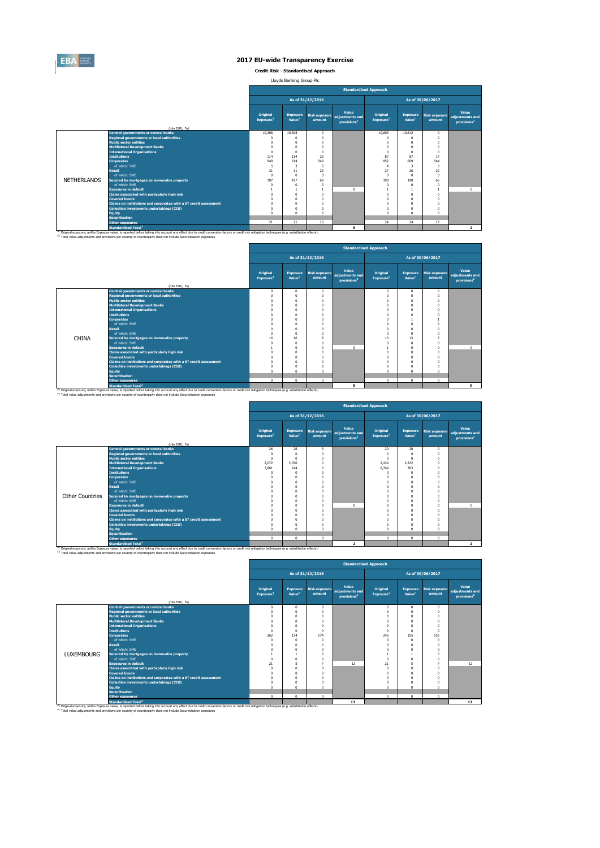

**Credit Risk - Standardised Approach**

Lloyds Banking Group Plc

|                    |                                                                                                                                                                                                                                                                                                                         |                                      |                                       |          | <b>Standardised Approach</b>                                      |                                   |                                       |                                |                                                     |
|--------------------|-------------------------------------------------------------------------------------------------------------------------------------------------------------------------------------------------------------------------------------------------------------------------------------------------------------------------|--------------------------------------|---------------------------------------|----------|-------------------------------------------------------------------|-----------------------------------|---------------------------------------|--------------------------------|-----------------------------------------------------|
|                    |                                                                                                                                                                                                                                                                                                                         | As of 31/12/2016<br>As of 30/06/2017 |                                       |          |                                                                   |                                   |                                       |                                |                                                     |
|                    | (mln EUR, %)                                                                                                                                                                                                                                                                                                            | Original<br>Exposure <sup>1</sup>    | <b>Exposure</b><br>Value <sup>1</sup> | amount   | Value<br>Risk exposure adjustments and<br>provisions <sup>2</sup> | Original<br>Exposure <sup>1</sup> | <b>Exposure</b><br>Value <sup>1</sup> | <b>Risk exposure</b><br>amount | Value<br>adjustments and<br>provisions <sup>2</sup> |
|                    | <b>Central governments or central banks</b>                                                                                                                                                                                                                                                                             | 10.308                               | 10.308                                | $\Omega$ |                                                                   | 10.605                            | 10.612                                | $\Omega$                       |                                                     |
|                    | <b>Regional governments or local authorities</b>                                                                                                                                                                                                                                                                        | $\Omega$                             | $\Omega$                              | $\Omega$ |                                                                   | $\Omega$                          | $\Omega$                              | $\Omega$                       |                                                     |
|                    | <b>Public sector entities</b>                                                                                                                                                                                                                                                                                           | O                                    | O                                     |          |                                                                   | $\Omega$                          | $\Omega$                              | $\Omega$                       |                                                     |
|                    | <b>Multilateral Development Banks</b>                                                                                                                                                                                                                                                                                   | $\Omega$                             | $\Omega$                              | $\Omega$ |                                                                   | $\Omega$                          | $\Omega$                              | $\Omega$                       |                                                     |
|                    | <b>International Organisations</b>                                                                                                                                                                                                                                                                                      | $\Omega$                             | $\Omega$                              | $\Omega$ |                                                                   | $\Omega$                          | $\Omega$                              | $\Omega$                       |                                                     |
|                    | <b>Institutions</b>                                                                                                                                                                                                                                                                                                     | 114                                  | 114                                   | 23       |                                                                   | 87                                | 87                                    | 17                             |                                                     |
|                    | <b>Corporates</b>                                                                                                                                                                                                                                                                                                       | 949                                  | 614                                   | 549      |                                                                   | 952                               | 609                                   | 544                            |                                                     |
|                    | of which: SMF                                                                                                                                                                                                                                                                                                           | s                                    | 3                                     | 3        |                                                                   | $\overline{4}$                    | 3                                     | -3                             |                                                     |
|                    | <b>Retail</b>                                                                                                                                                                                                                                                                                                           | 31                                   | 31                                    | 23       |                                                                   | 27                                | 26                                    | 20                             |                                                     |
|                    | of which: SME                                                                                                                                                                                                                                                                                                           | $\Omega$                             | $\Omega$                              | $\Omega$ |                                                                   | $\Omega$                          | $\Omega$                              | $\Omega$                       |                                                     |
| <b>NETHERLANDS</b> | Secured by mortgages on immovable property                                                                                                                                                                                                                                                                              | 197                                  | 197                                   | 69       |                                                                   | 190                               | 190                                   | 66                             |                                                     |
|                    | of which: SMF                                                                                                                                                                                                                                                                                                           |                                      | $\Omega$                              | $\Omega$ |                                                                   | $\Omega$                          | $\Omega$                              | $\Omega$                       |                                                     |
|                    | <b>Exposures in default</b>                                                                                                                                                                                                                                                                                             |                                      |                                       |          | $\Omega$                                                          |                                   |                                       |                                | $\Omega$                                            |
|                    | Items associated with particularly high risk                                                                                                                                                                                                                                                                            | $\sqrt{2}$                           | $\Omega$                              | $\Omega$ |                                                                   | $\Omega$                          | $\Omega$                              | $\Omega$                       |                                                     |
|                    | <b>Covered bonds</b>                                                                                                                                                                                                                                                                                                    |                                      | $\Omega$                              | $\Omega$ |                                                                   | $\Omega$                          | $\Omega$                              | $\Omega$                       |                                                     |
|                    | Claims on institutions and corporates with a ST credit assessment                                                                                                                                                                                                                                                       | O                                    | $\Omega$                              | n        |                                                                   | $\Omega$                          | $\Omega$                              | $\Omega$                       |                                                     |
|                    | Collective investments undertakings (CIU)                                                                                                                                                                                                                                                                               | $\Omega$                             | $\Omega$                              | n        |                                                                   | $\Omega$                          | $\Omega$                              | $\Omega$                       |                                                     |
|                    | <b>Equity</b>                                                                                                                                                                                                                                                                                                           | $\Omega$                             | $\Omega$                              | $\Omega$ |                                                                   | $\Omega$                          | $\Omega$                              | $\Omega$                       |                                                     |
|                    | <b>Securitisation</b>                                                                                                                                                                                                                                                                                                   |                                      |                                       |          |                                                                   |                                   |                                       |                                |                                                     |
|                    | <b>Other exposures</b>                                                                                                                                                                                                                                                                                                  | 21                                   | 21                                    | 15       |                                                                   | 24                                | 24                                    | 17                             |                                                     |
|                    | Standardised Total <sup>2</sup>                                                                                                                                                                                                                                                                                         |                                      |                                       |          | 5                                                                 |                                   |                                       |                                | $\overline{2}$                                      |
|                    | (1) Original exposure, unlike Exposure value, is reported before taking into account any effect due to credit conversion factors or credit risk mitigation techniques (e.g. substitution effects).<br>(2) Total value adjustments and provisions per country of counterparty does not include Securistisation exposures |                                      |                                       |          |                                                                   |                                   |                                       |                                |                                                     |

|              |                                                                                                                                                                                                                                                        |                                   | <b>Standardised Approach</b>          |                                |                                                     |                                   |                                       |                                |                                                     |  |  |  |  |
|--------------|--------------------------------------------------------------------------------------------------------------------------------------------------------------------------------------------------------------------------------------------------------|-----------------------------------|---------------------------------------|--------------------------------|-----------------------------------------------------|-----------------------------------|---------------------------------------|--------------------------------|-----------------------------------------------------|--|--|--|--|
|              |                                                                                                                                                                                                                                                        |                                   | As of 31/12/2016<br>As of 30/06/2017  |                                |                                                     |                                   |                                       |                                |                                                     |  |  |  |  |
|              | (mln EUR, %)                                                                                                                                                                                                                                           | Original<br>Exposure <sup>1</sup> | <b>Exposure</b><br>Value <sup>1</sup> | <b>Risk exposure</b><br>amount | Value<br>adiustments and<br>provisions <sup>2</sup> | Original<br>Exposure <sup>1</sup> | <b>Exposure</b><br>Value <sup>1</sup> | <b>Risk exposure</b><br>amount | Value<br>adjustments and<br>provisions <sup>2</sup> |  |  |  |  |
|              | <b>Central governments or central banks</b>                                                                                                                                                                                                            | $\Omega$                          | $\mathbf{0}$                          | $\Omega$                       |                                                     | $^{\circ}$                        | 0                                     | $\mathbf{0}$                   |                                                     |  |  |  |  |
|              | <b>Regional governments or local authorities</b>                                                                                                                                                                                                       | 0                                 | $\Omega$                              |                                |                                                     | $\Omega$                          |                                       | $\Omega$                       |                                                     |  |  |  |  |
|              | <b>Public sector entities</b>                                                                                                                                                                                                                          |                                   | $\Omega$                              |                                |                                                     | O                                 |                                       |                                |                                                     |  |  |  |  |
|              | <b>Multilateral Development Banks</b>                                                                                                                                                                                                                  |                                   | $\Omega$                              |                                |                                                     | O                                 |                                       |                                |                                                     |  |  |  |  |
|              | <b>International Organisations</b>                                                                                                                                                                                                                     |                                   | $\Omega$                              |                                |                                                     | n                                 |                                       |                                |                                                     |  |  |  |  |
|              | <b>Institutions</b>                                                                                                                                                                                                                                    |                                   | $\Omega$                              |                                |                                                     |                                   |                                       |                                |                                                     |  |  |  |  |
|              | <b>Corporates</b>                                                                                                                                                                                                                                      |                                   | $\Omega$                              |                                |                                                     |                                   |                                       |                                |                                                     |  |  |  |  |
|              | of which: SMF                                                                                                                                                                                                                                          |                                   | $\Omega$                              |                                |                                                     | O                                 |                                       |                                |                                                     |  |  |  |  |
|              | <b>Retail</b>                                                                                                                                                                                                                                          |                                   | $\Omega$                              |                                |                                                     | O                                 |                                       |                                |                                                     |  |  |  |  |
|              | of which: SME                                                                                                                                                                                                                                          | O                                 | $\Omega$                              |                                |                                                     | Ò                                 |                                       |                                |                                                     |  |  |  |  |
| <b>CHINA</b> | Secured by mortgages on immovable property                                                                                                                                                                                                             | 16                                | 16                                    |                                |                                                     | 13                                | 13                                    |                                |                                                     |  |  |  |  |
|              | of which: SMF                                                                                                                                                                                                                                          |                                   | $\Omega$                              |                                |                                                     | O                                 |                                       |                                |                                                     |  |  |  |  |
|              | <b>Exposures in default</b>                                                                                                                                                                                                                            |                                   | $\Omega$                              |                                | $\Omega$                                            |                                   |                                       | $\Omega$                       | $\Omega$                                            |  |  |  |  |
|              | Items associated with particularly high risk                                                                                                                                                                                                           |                                   | $\Omega$                              |                                |                                                     | O                                 |                                       |                                |                                                     |  |  |  |  |
|              | <b>Covered bonds</b>                                                                                                                                                                                                                                   |                                   | $\Omega$                              |                                |                                                     | O                                 |                                       |                                |                                                     |  |  |  |  |
|              | Claims on institutions and corporates with a ST credit assessment                                                                                                                                                                                      |                                   | $\Omega$                              |                                |                                                     | O                                 |                                       |                                |                                                     |  |  |  |  |
|              | <b>Collective investments undertakings (CIU)</b>                                                                                                                                                                                                       |                                   | $\Omega$                              |                                |                                                     | O                                 |                                       |                                |                                                     |  |  |  |  |
|              | <b>Equity</b>                                                                                                                                                                                                                                          | n                                 | $\Omega$                              |                                |                                                     | $\Omega$                          |                                       | $\Omega$                       |                                                     |  |  |  |  |
|              | <b>Securitisation</b>                                                                                                                                                                                                                                  |                                   |                                       |                                |                                                     |                                   |                                       |                                |                                                     |  |  |  |  |
|              | <b>Other exposures</b>                                                                                                                                                                                                                                 | $\Omega$                          | $\mathbf{0}$                          | $\Omega$                       |                                                     | $\mathbf 0$                       | $\mathbf{0}$                          | $\Omega$                       |                                                     |  |  |  |  |
|              | <b>Standardised Total<sup>2</sup></b><br><sup>(1)</sup> Original exposure, unlike Exposure value, is reported before taking into account any effect due to credit conversion factors or credit risk mitigation techniques (e.g. substitution effects). |                                   |                                       |                                | 0                                                   |                                   |                                       |                                | $\bullet$                                           |  |  |  |  |

|                        |                                                                   |                                          |                                       |                                | <b>Standardised Approach</b>                        |                                   |                                       |                                |                                                     |
|------------------------|-------------------------------------------------------------------|------------------------------------------|---------------------------------------|--------------------------------|-----------------------------------------------------|-----------------------------------|---------------------------------------|--------------------------------|-----------------------------------------------------|
|                        |                                                                   |                                          |                                       | As of 31/12/2016               |                                                     |                                   |                                       | As of 30/06/2017               |                                                     |
|                        | (mln EUR, %)                                                      | <b>Original</b><br>Exposure <sup>1</sup> | <b>Exposure</b><br>Value <sup>1</sup> | <b>Risk exposure</b><br>amount | Value<br>adiustments and<br>provisions <sup>2</sup> | Original<br>Exposure <sup>1</sup> | <b>Exposure</b><br>Value <sup>1</sup> | <b>Risk exposure</b><br>amount | Value<br>adjustments and<br>provisions <sup>2</sup> |
|                        | <b>Central governments or central banks</b>                       | 26                                       | 26                                    | 3                              |                                                     | 20                                | 20                                    | $^{\circ}$                     |                                                     |
|                        | <b>Regional governments or local authorities</b>                  | $\Omega$                                 | $\Omega$                              | $\Omega$                       |                                                     | $\Omega$                          | $\Omega$                              | $\Omega$                       |                                                     |
|                        | <b>Public sector entities</b>                                     | $\Omega$                                 | $\Omega$                              | $\theta$                       |                                                     | $\Omega$                          | $\Omega$                              | $\Omega$                       |                                                     |
|                        | <b>Multilateral Development Banks</b>                             | 2.072                                    | 2.070                                 | $\theta$                       |                                                     | 2.224                             | 2.222                                 | $\Omega$                       |                                                     |
|                        | <b>International Organisations</b>                                | 7.861                                    | 244                                   | n                              |                                                     | 6.744                             | 303                                   | $\Omega$                       |                                                     |
|                        | <b>Institutions</b>                                               | $\Omega$                                 | $\Omega$                              | $\theta$                       |                                                     | $\Omega$                          | $\Omega$                              | $\Omega$                       |                                                     |
|                        | <b>Corporates</b>                                                 | $\Omega$                                 | $\Omega$                              | Ō                              |                                                     | $\Omega$                          | $\Omega$                              | $\Omega$                       |                                                     |
|                        | of which: SME                                                     | O                                        | 0                                     | n                              |                                                     | $\Omega$                          | $\Omega$                              | $\Omega$                       |                                                     |
|                        | Retail                                                            |                                          | $\Omega$                              | n                              |                                                     | 0                                 | $\Omega$                              | $\Omega$                       |                                                     |
|                        | of which: SMF                                                     |                                          | 0                                     | n                              |                                                     |                                   | $\Omega$                              |                                |                                                     |
| <b>Other Countries</b> | Secured by mortgages on immovable property                        | ń                                        | $^{\circ}$                            | $\theta$                       |                                                     | Λ                                 | $\Omega$                              | $\Omega$                       |                                                     |
|                        | of which: SME                                                     |                                          | 0                                     | 0                              |                                                     | $\Omega$                          | $\Omega$                              | $\Omega$                       |                                                     |
|                        | <b>Exposures in default</b>                                       |                                          | $\Omega$                              | $\theta$                       | $\Omega$                                            | $\Omega$                          | $\Omega$                              | $\Omega$                       | $\Omega$                                            |
|                        | Items associated with particularly high risk                      | n                                        | $\Omega$                              | $\theta$                       |                                                     | $\Omega$                          | $\Omega$                              | $\Omega$                       |                                                     |
|                        | <b>Covered bonds</b>                                              |                                          | 0                                     | Ō                              |                                                     | 0                                 | $\Omega$                              | $\Omega$                       |                                                     |
|                        | Claims on institutions and corporates with a ST credit assessment |                                          | 0                                     | n                              |                                                     | 0                                 | $\Omega$                              | $\Omega$                       |                                                     |
|                        | Collective investments undertakings (CIU)                         | $\Omega$                                 | $^{\circ}$                            | $\theta$                       |                                                     | $\Omega$                          | $\Omega$                              | $\Omega$                       |                                                     |
|                        | <b>Equity</b>                                                     | $\Omega$                                 | $\Omega$                              | $\mathbf{0}$                   |                                                     | $\Omega$                          | $\Omega$                              | $\Omega$                       |                                                     |
|                        | <b>Securitisation</b>                                             |                                          |                                       |                                |                                                     |                                   |                                       |                                |                                                     |
|                        | <b>Other exposures</b>                                            | $^{\circ}$                               | $\mathbf{0}$                          | $^{\circ}$                     |                                                     | $\circ$                           | $\mathbf{0}$                          | $\mathbf{0}$                   |                                                     |
| 11.411<br>----         | <b>Standardised Total<sup>2</sup></b>                             |                                          | .                                     |                                | $\overline{2}$                                      |                                   |                                       |                                | $\overline{2}$                                      |

<sup>(1)</sup> Original exposure, unlike Exposure value, is reported before taking into account any effect due to credit conversion factors or credit risk mitigation techniques (e.g. substitution effects).<br><sup>(2)</sup> Total value adjustm

|                   |                                                                   | <b>Standardised Approach</b><br>As of 30/06/2017<br>As of 31/12/2016<br>Value<br>Value<br>Original<br>Original<br><b>Exposure</b><br><b>Risk exposure</b><br><b>Exposure</b><br><b>Risk exposure</b><br>adiustments and<br>Value <sup>1</sup><br>Value <sup>1</sup><br>Exposure <sup>1</sup><br>Exposure <sup>1</sup><br>amount<br>amount<br>provisions <sup>2</sup><br>$\overline{0}$<br>$\mathbf{0}$<br>U<br>$\Omega$<br>$\Omega$<br>$\Omega$<br>$\Omega$<br>$\Omega$<br>$\Omega$<br>$\Omega$<br>174<br>155<br>262<br>174<br>246<br>155<br>$\Omega$<br>$\Omega$<br>$\Omega$<br>$\Omega$<br>$\Omega$ |          |          |    |          |   |          |                                            |  |  |  |  |  |  |
|-------------------|-------------------------------------------------------------------|-------------------------------------------------------------------------------------------------------------------------------------------------------------------------------------------------------------------------------------------------------------------------------------------------------------------------------------------------------------------------------------------------------------------------------------------------------------------------------------------------------------------------------------------------------------------------------------------------------|----------|----------|----|----------|---|----------|--------------------------------------------|--|--|--|--|--|--|
|                   |                                                                   |                                                                                                                                                                                                                                                                                                                                                                                                                                                                                                                                                                                                       |          |          |    |          |   |          |                                            |  |  |  |  |  |  |
|                   | (mln EUR, %)                                                      |                                                                                                                                                                                                                                                                                                                                                                                                                                                                                                                                                                                                       |          |          |    |          |   |          | adjustments and<br>provisions <sup>2</sup> |  |  |  |  |  |  |
|                   | <b>Central governments or central banks</b>                       |                                                                                                                                                                                                                                                                                                                                                                                                                                                                                                                                                                                                       |          |          |    |          |   |          |                                            |  |  |  |  |  |  |
|                   | <b>Regional governments or local authorities</b>                  |                                                                                                                                                                                                                                                                                                                                                                                                                                                                                                                                                                                                       |          |          |    |          |   |          |                                            |  |  |  |  |  |  |
|                   | <b>Public sector entities</b>                                     |                                                                                                                                                                                                                                                                                                                                                                                                                                                                                                                                                                                                       |          |          |    |          |   |          |                                            |  |  |  |  |  |  |
|                   | <b>Multilateral Development Banks</b>                             |                                                                                                                                                                                                                                                                                                                                                                                                                                                                                                                                                                                                       |          |          |    |          |   |          |                                            |  |  |  |  |  |  |
|                   | <b>International Organisations</b>                                |                                                                                                                                                                                                                                                                                                                                                                                                                                                                                                                                                                                                       |          |          |    |          |   |          |                                            |  |  |  |  |  |  |
|                   | <b>Institutions</b>                                               |                                                                                                                                                                                                                                                                                                                                                                                                                                                                                                                                                                                                       |          |          |    |          |   |          |                                            |  |  |  |  |  |  |
|                   | <b>Corporates</b>                                                 |                                                                                                                                                                                                                                                                                                                                                                                                                                                                                                                                                                                                       |          |          |    |          |   |          |                                            |  |  |  |  |  |  |
|                   | of which: SME                                                     |                                                                                                                                                                                                                                                                                                                                                                                                                                                                                                                                                                                                       |          |          |    |          |   |          |                                            |  |  |  |  |  |  |
|                   | <b>Retail</b>                                                     |                                                                                                                                                                                                                                                                                                                                                                                                                                                                                                                                                                                                       |          |          |    |          |   |          |                                            |  |  |  |  |  |  |
|                   | of which: SMF                                                     |                                                                                                                                                                                                                                                                                                                                                                                                                                                                                                                                                                                                       |          |          |    |          |   |          |                                            |  |  |  |  |  |  |
| <b>LUXEMBOURG</b> | Secured by mortgages on immovable property                        |                                                                                                                                                                                                                                                                                                                                                                                                                                                                                                                                                                                                       |          |          |    |          |   |          |                                            |  |  |  |  |  |  |
|                   | of which: SMF                                                     |                                                                                                                                                                                                                                                                                                                                                                                                                                                                                                                                                                                                       |          |          |    |          |   |          |                                            |  |  |  |  |  |  |
|                   | <b>Exposures in default</b>                                       | 21                                                                                                                                                                                                                                                                                                                                                                                                                                                                                                                                                                                                    |          |          | 12 | 21       |   |          | 12                                         |  |  |  |  |  |  |
|                   | Items associated with particularly high risk                      |                                                                                                                                                                                                                                                                                                                                                                                                                                                                                                                                                                                                       |          | $\Omega$ |    |          |   |          |                                            |  |  |  |  |  |  |
|                   | <b>Covered bonds</b>                                              |                                                                                                                                                                                                                                                                                                                                                                                                                                                                                                                                                                                                       |          | $\Omega$ |    |          |   |          |                                            |  |  |  |  |  |  |
|                   | Claims on institutions and corporates with a ST credit assessment |                                                                                                                                                                                                                                                                                                                                                                                                                                                                                                                                                                                                       |          | n        |    |          |   |          |                                            |  |  |  |  |  |  |
|                   | Collective investments undertakings (CIU)                         |                                                                                                                                                                                                                                                                                                                                                                                                                                                                                                                                                                                                       |          |          |    |          |   |          |                                            |  |  |  |  |  |  |
|                   | <b>Equity</b>                                                     |                                                                                                                                                                                                                                                                                                                                                                                                                                                                                                                                                                                                       |          | $\Omega$ |    | $\Omega$ |   |          |                                            |  |  |  |  |  |  |
|                   | <b>Securitisation</b>                                             |                                                                                                                                                                                                                                                                                                                                                                                                                                                                                                                                                                                                       |          |          |    |          |   |          |                                            |  |  |  |  |  |  |
|                   | <b>Other exposures</b>                                            | $\sim$                                                                                                                                                                                                                                                                                                                                                                                                                                                                                                                                                                                                | $\Omega$ | $\Omega$ |    | $\Omega$ | ò | $\Omega$ |                                            |  |  |  |  |  |  |
|                   | <b>Standardised Total<sup>2</sup></b>                             |                                                                                                                                                                                                                                                                                                                                                                                                                                                                                                                                                                                                       |          |          | 13 |          |   |          | 13                                         |  |  |  |  |  |  |

ż,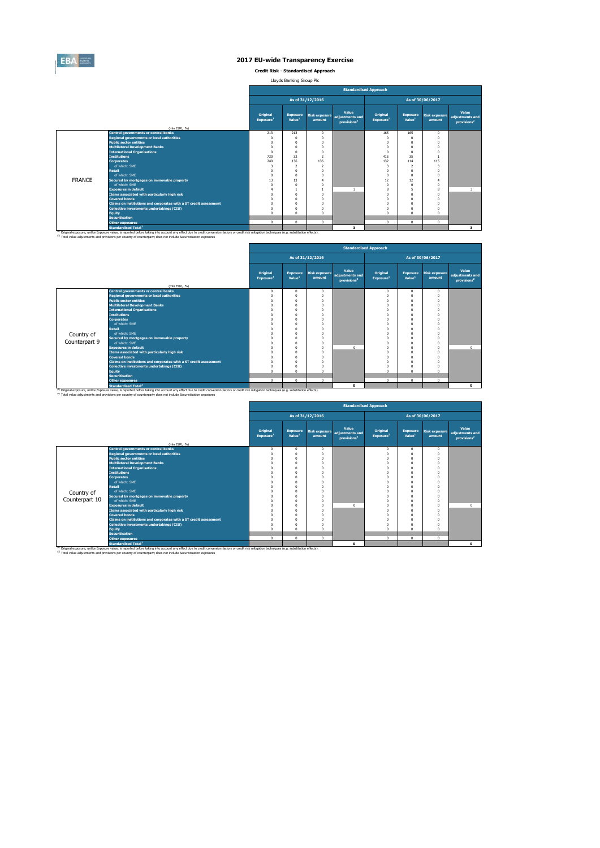

**Credit Risk - Standardised Approach**

Lloyds Banking Group Plc

|               |                                                                                                                                                                                                                                                                                                                         |                                   |                                       |                  | <b>Standardised Approach</b>                                      |                                   |                                       |                                |                                                     |
|---------------|-------------------------------------------------------------------------------------------------------------------------------------------------------------------------------------------------------------------------------------------------------------------------------------------------------------------------|-----------------------------------|---------------------------------------|------------------|-------------------------------------------------------------------|-----------------------------------|---------------------------------------|--------------------------------|-----------------------------------------------------|
|               |                                                                                                                                                                                                                                                                                                                         |                                   |                                       | As of 31/12/2016 |                                                                   |                                   |                                       | As of 30/06/2017               |                                                     |
|               |                                                                                                                                                                                                                                                                                                                         | Original<br>Exposure <sup>1</sup> | <b>Exposure</b><br>Value <sup>1</sup> | amount           | Value<br>Risk exposure adjustments and<br>provisions <sup>2</sup> | Original<br>Exposure <sup>1</sup> | <b>Exposure</b><br>Value <sup>1</sup> | <b>Risk exposure</b><br>amount | Value<br>adjustments and<br>provisions <sup>2</sup> |
|               | (mln EUR, %)                                                                                                                                                                                                                                                                                                            |                                   |                                       |                  |                                                                   |                                   |                                       |                                |                                                     |
|               | <b>Central governments or central banks</b><br><b>Regional governments or local authorities</b>                                                                                                                                                                                                                         | 213                               | 213                                   | $\Omega$         |                                                                   | 165                               | 165                                   | $\Omega$                       |                                                     |
|               | <b>Public sector entities</b>                                                                                                                                                                                                                                                                                           | $\Omega$<br>O                     | $\Omega$<br>$\Omega$                  | $\Omega$         |                                                                   | $\Omega$<br>$\Omega$              | $\Omega$<br>$\Omega$                  | $\Omega$<br>$\Omega$           |                                                     |
|               | <b>Multilateral Development Banks</b>                                                                                                                                                                                                                                                                                   | $\sqrt{2}$                        | $\Omega$                              | $\Omega$         |                                                                   | $\Omega$                          | $\Omega$                              | $\Omega$                       |                                                     |
|               | <b>International Organisations</b>                                                                                                                                                                                                                                                                                      | $\Omega$                          | $\Omega$                              | $\Omega$         |                                                                   | $\Omega$                          | $\Omega$                              | $\Omega$                       |                                                     |
|               | <b>Institutions</b>                                                                                                                                                                                                                                                                                                     | 730                               | 32                                    | n,               |                                                                   | 415                               | 35                                    |                                |                                                     |
|               | <b>Corporates</b>                                                                                                                                                                                                                                                                                                       | 240                               | 136                                   | 136              |                                                                   | 132                               | 114                                   | 115                            |                                                     |
|               | of which: SMF                                                                                                                                                                                                                                                                                                           | $\overline{\mathbf{z}}$           | $\overline{2}$                        | $\overline{ }$   |                                                                   | 3                                 | $\overline{2}$                        | -3                             |                                                     |
|               | <b>Retail</b>                                                                                                                                                                                                                                                                                                           | $\Omega$                          | $\Omega$                              | $\Omega$         |                                                                   | $\Omega$                          | $\Omega$                              | $\Omega$                       |                                                     |
|               | of which: SME                                                                                                                                                                                                                                                                                                           | $\Omega$                          | $\Omega$                              |                  |                                                                   | $\Omega$                          | $\Omega$                              | $\Omega$                       |                                                     |
| <b>FRANCE</b> | Secured by mortgages on immovable property                                                                                                                                                                                                                                                                              | 13                                | 13                                    |                  |                                                                   | 12                                | 12                                    |                                |                                                     |
|               | of which: SMF                                                                                                                                                                                                                                                                                                           |                                   | $\Omega$                              | n                |                                                                   | $\Omega$                          | $\Omega$                              | $\Omega$                       |                                                     |
|               | <b>Exposures in default</b>                                                                                                                                                                                                                                                                                             |                                   |                                       |                  | $\overline{\mathbf{3}}$                                           | 8                                 | 5                                     | 8                              | 3                                                   |
|               | Items associated with particularly high risk                                                                                                                                                                                                                                                                            | n                                 | $\Omega$                              | $\Omega$         |                                                                   | $\Omega$                          | $\Omega$                              | $\Omega$                       |                                                     |
|               | <b>Covered bonds</b>                                                                                                                                                                                                                                                                                                    |                                   | $\Omega$                              | $\Omega$         |                                                                   | $\Omega$                          | $\Omega$                              | $\Omega$                       |                                                     |
|               | Claims on institutions and corporates with a ST credit assessment                                                                                                                                                                                                                                                       | O                                 | $\Omega$                              | n                |                                                                   | $\Omega$                          | $\Omega$                              | $\Omega$                       |                                                     |
|               | Collective investments undertakings (CIU)                                                                                                                                                                                                                                                                               | $\Omega$                          | $\Omega$                              | n                |                                                                   | $\Omega$                          | $\Omega$                              | $\Omega$                       |                                                     |
|               | <b>Equity</b>                                                                                                                                                                                                                                                                                                           | $\Omega$                          | $\Omega$                              | $\Omega$         |                                                                   | $\mathbf 0$                       | $\Omega$                              | $\Omega$                       |                                                     |
|               | <b>Securitisation</b>                                                                                                                                                                                                                                                                                                   |                                   |                                       |                  |                                                                   |                                   |                                       |                                |                                                     |
|               | <b>Other exposures</b>                                                                                                                                                                                                                                                                                                  | $^{\circ}$                        | $^{\circ}$                            | $\Omega$         |                                                                   | $^{\circ}$                        | $\Omega$                              | $\mathbf{0}$                   |                                                     |
|               | <b>Standardised Total<sup>2</sup></b>                                                                                                                                                                                                                                                                                   |                                   |                                       |                  | $\overline{\mathbf{3}}$                                           |                                   |                                       |                                | 3 <sup>1</sup>                                      |
|               | (1) Original exposure, unlike Exposure value, is reported before taking into account any effect due to credit conversion factors or credit risk mitigation techniques (e.g. substitution effects).<br>(2) Total value adjustments and provisions per country of counterparty does not include Securistisation exposures |                                   |                                       |                  |                                                                   |                                   |                                       |                                |                                                     |

|               |                                                                   |                                   |                                       |                                |                                                     | <b>Standardised Approach</b>      |                                       |                                |                                                     |
|---------------|-------------------------------------------------------------------|-----------------------------------|---------------------------------------|--------------------------------|-----------------------------------------------------|-----------------------------------|---------------------------------------|--------------------------------|-----------------------------------------------------|
|               |                                                                   |                                   |                                       | As of 31/12/2016               |                                                     |                                   |                                       | As of 30/06/2017               |                                                     |
|               | (mln EUR, %)                                                      | Original<br>Exposure <sup>1</sup> | <b>Exposure</b><br>Value <sup>1</sup> | <b>Risk exposure</b><br>amount | Value<br>adiustments and<br>provisions <sup>2</sup> | Original<br>Exposure <sup>1</sup> | <b>Exposure</b><br>Value <sup>1</sup> | <b>Risk exposure</b><br>amount | Value<br>adjustments and<br>provisions <sup>2</sup> |
|               | <b>Central governments or central banks</b>                       | $^{\circ}$                        | $\mathbf{0}$                          | 0                              |                                                     | $\mathbf{0}$                      | $\Omega$                              | $^{\circ}$                     |                                                     |
|               | <b>Regional governments or local authorities</b>                  | $^{\circ}$                        | $\Omega$                              |                                |                                                     | 0                                 |                                       | $\Omega$                       |                                                     |
|               | <b>Public sector entities</b>                                     | $^{\circ}$                        | $\Omega$                              |                                |                                                     | $\Omega$                          | $\Omega$                              | $\Omega$                       |                                                     |
|               | <b>Multilateral Development Banks</b>                             | $\Omega$                          | $\Omega$                              |                                |                                                     | $\Omega$                          |                                       | $\Omega$                       |                                                     |
|               | <b>International Organisations</b>                                | $\Omega$                          | $\Omega$                              |                                |                                                     | $\Omega$                          | $\Omega$                              | $\Omega$                       |                                                     |
|               | <b>Institutions</b>                                               | $\Omega$                          | $\Omega$                              |                                |                                                     | $\Omega$                          |                                       |                                |                                                     |
|               | <b>Corporates</b>                                                 | $\Omega$                          | $\Omega$                              |                                |                                                     | $\Omega$                          | $\Omega$                              | $\Omega$                       |                                                     |
|               | of which: SME                                                     | $\Omega$                          | $\Omega$                              |                                |                                                     | $\Omega$                          | O                                     | $\Omega$                       |                                                     |
|               | Retail                                                            | $\Omega$                          | $\Omega$                              |                                |                                                     | $\Omega$                          |                                       |                                |                                                     |
| Country of    | of which: SMF                                                     | $\Omega$                          | $\Omega$                              |                                |                                                     |                                   |                                       |                                |                                                     |
|               | Secured by mortgages on immovable property                        | $\Omega$                          | $\Omega$                              |                                |                                                     | O                                 |                                       |                                |                                                     |
| Counterpart 9 | of which: SME                                                     | $\Omega$                          | $\Omega$                              |                                |                                                     | $\Omega$                          |                                       |                                |                                                     |
|               | <b>Exposures in default</b>                                       | $\Omega$                          | $\Omega$                              |                                | $\sqrt{2}$                                          | $\Omega$                          | n                                     | $\Omega$                       | $^{\circ}$                                          |
|               | Items associated with particularly high risk                      | $\Omega$                          | $\Omega$                              |                                |                                                     | $\Omega$                          | $\Omega$                              | $\Omega$                       |                                                     |
|               | <b>Covered bonds</b>                                              | $\Omega$                          | $\Omega$                              |                                |                                                     | $\Omega$                          | O                                     |                                |                                                     |
|               | Claims on institutions and corporates with a ST credit assessment | $\Omega$                          | $\Omega$                              |                                |                                                     | $\Omega$                          |                                       |                                |                                                     |
|               | <b>Collective investments undertakings (CIU)</b>                  | $\Omega$                          | $\Omega$                              |                                |                                                     | $\Omega$                          |                                       |                                |                                                     |
|               | Equity                                                            | $\Omega$                          | $\Omega$                              |                                |                                                     | $\Omega$                          | n                                     | $\Omega$                       |                                                     |
|               | <b>Securitisation</b>                                             |                                   |                                       |                                |                                                     |                                   |                                       |                                |                                                     |
|               | <b>Other exposures</b>                                            | $\mathbf 0$                       | $\mathbf{0}$                          | 0                              |                                                     | $\mathbf 0$                       | $\Omega$                              | $\Omega$                       |                                                     |
|               | <b>Standardised Total<sup>2</sup></b>                             |                                   |                                       |                                | $\mathbf{0}$                                        |                                   |                                       |                                | $\mathbf{o}$                                        |

<sup>10</sup> Original exposure, unlike Exposure Total of Total Total Total Count any effect due to credit conversion factors or credit risk mitigation techniques (e.g. substitution effects).<br><sup>21</sup> Total value adjustments and provis

|                |                                                                                                 |                                   |                                       |                      | <b>Standardised Approach</b>                                      |                                   |                                       |                                |                                                     |
|----------------|-------------------------------------------------------------------------------------------------|-----------------------------------|---------------------------------------|----------------------|-------------------------------------------------------------------|-----------------------------------|---------------------------------------|--------------------------------|-----------------------------------------------------|
|                |                                                                                                 |                                   |                                       | As of 31/12/2016     |                                                                   |                                   |                                       | As of 30/06/2017               |                                                     |
|                |                                                                                                 | Original<br>Exposure <sup>1</sup> | <b>Exposure</b><br>Value <sup>1</sup> | amount               | Value<br>Risk exposure adjustments and<br>provisions <sup>2</sup> | Original<br>Exposure <sup>1</sup> | <b>Exposure</b><br>Value <sup>1</sup> | <b>Risk exposure</b><br>amount | Value<br>adjustments and<br>provisions <sup>2</sup> |
|                | (mln EUR, %)                                                                                    |                                   |                                       |                      |                                                                   |                                   |                                       |                                |                                                     |
|                | <b>Central governments or central banks</b><br><b>Regional governments or local authorities</b> | $\mathbf 0$<br>$\Omega$           | $^{\circ}$<br>O                       | $\Omega$<br>$\Omega$ |                                                                   | $^{\circ}$<br>$\Omega$            | $\mathbf{0}$<br>$\Omega$              | $\Omega$<br>$\Omega$           |                                                     |
|                | <b>Public sector entities</b>                                                                   | O                                 | O                                     |                      |                                                                   | $\Omega$                          | $\Omega$                              | $\Omega$                       |                                                     |
|                | <b>Multilateral Development Banks</b>                                                           | O                                 | O                                     | $\Omega$             |                                                                   | $\Omega$                          | $\Omega$                              | $\Omega$                       |                                                     |
|                | <b>International Organisations</b>                                                              | O                                 |                                       |                      |                                                                   |                                   | $\Omega$                              | C                              |                                                     |
|                | <b>Institutions</b>                                                                             |                                   |                                       |                      |                                                                   |                                   | $\Omega$                              | £                              |                                                     |
|                | <b>Corporates</b>                                                                               | O                                 | n                                     |                      |                                                                   | $\Omega$                          | $\Omega$                              | O                              |                                                     |
|                | of which: SME                                                                                   |                                   | n                                     |                      |                                                                   | $\Omega$                          | $\Omega$                              | $\Omega$                       |                                                     |
|                | Retail                                                                                          | ሰ                                 | n                                     |                      |                                                                   |                                   | $\Omega$                              |                                |                                                     |
| Country of     | of which: SMF                                                                                   |                                   |                                       |                      |                                                                   |                                   | $\Omega$                              | C                              |                                                     |
|                | Secured by mortgages on immovable property                                                      | O                                 | O                                     | $\Omega$             |                                                                   | $\Omega$                          | $\Omega$                              | $\Omega$                       |                                                     |
| Counterpart 10 | of which: SME                                                                                   | O                                 | O                                     |                      |                                                                   | $\Omega$                          | $\Omega$                              | $\Omega$                       |                                                     |
|                | <b>Exposures in default</b>                                                                     | O                                 | O                                     | $\Omega$             | $\Omega$                                                          | $\Omega$                          | $\Omega$                              | $\Omega$                       | $\Omega$                                            |
|                | Items associated with particularly high risk                                                    | O                                 |                                       |                      |                                                                   |                                   | $\Omega$                              | £                              |                                                     |
|                | <b>Covered bonds</b>                                                                            | n                                 | O                                     |                      |                                                                   |                                   | $\Omega$                              | $\Omega$                       |                                                     |
|                | Claims on institutions and corporates with a ST credit assessment                               | C                                 |                                       |                      |                                                                   | $\Omega$                          | $\Omega$                              | £                              |                                                     |
|                | Collective investments undertakings (CIU)                                                       | O                                 | O                                     |                      |                                                                   | $\Omega$                          | $\Omega$                              | $\Omega$                       |                                                     |
|                | <b>Equity</b>                                                                                   | $\Omega$                          | $\Omega$                              |                      |                                                                   | $\Omega$                          | $\Omega$                              | $\Omega$                       |                                                     |
|                | <b>Securitisation</b>                                                                           |                                   |                                       |                      |                                                                   |                                   |                                       |                                |                                                     |
|                | <b>Other exposures</b>                                                                          | $^{\circ}$                        | $\mathbf{0}$                          | $\Omega$             |                                                                   | $\mathbf 0$                       | $\mathbf{0}$                          | $\mathbf{0}$                   |                                                     |
|                | <b>Standardised Total<sup>2</sup></b>                                                           |                                   |                                       |                      | $\Omega$                                                          |                                   |                                       |                                | $\Omega$                                            |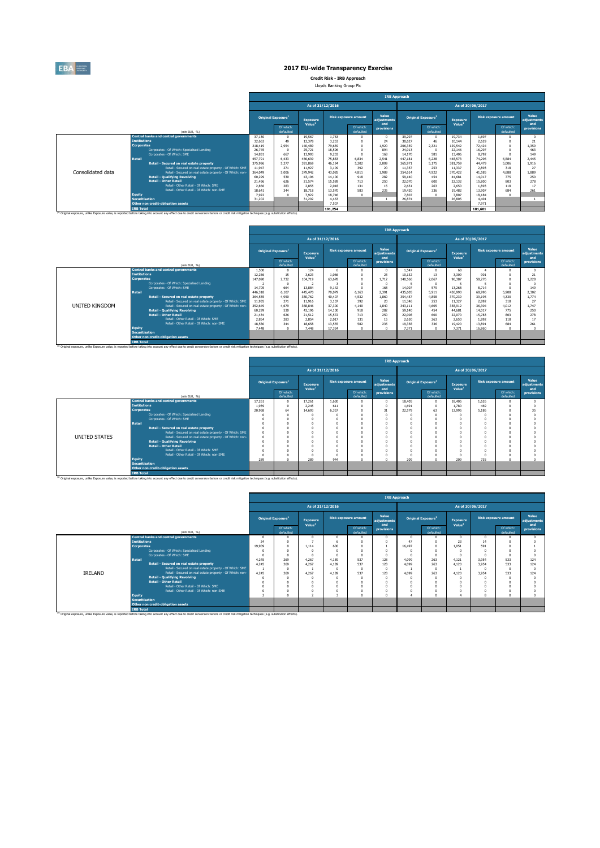

**Credit Risk - IRB Approach** Lloyds Banking Group Plc

|                   |                       |                                                                                                                                                                                                              |         |                                |                                       |                  |                             | <b>IRB Approach</b>         |         |                                |                                       |                  |                             |                             |
|-------------------|-----------------------|--------------------------------------------------------------------------------------------------------------------------------------------------------------------------------------------------------------|---------|--------------------------------|---------------------------------------|------------------|-----------------------------|-----------------------------|---------|--------------------------------|---------------------------------------|------------------|-----------------------------|-----------------------------|
|                   |                       |                                                                                                                                                                                                              |         |                                |                                       | As of 31/12/2016 |                             |                             |         |                                |                                       | As of 30/06/2017 |                             |                             |
|                   |                       |                                                                                                                                                                                                              |         | Original Exposure <sup>1</sup> | <b>Exposure</b><br>Value <sup>1</sup> |                  | <b>Risk exposure amount</b> | Value<br>adiustments<br>and |         | Original Exposure <sup>1</sup> | <b>Exposure</b><br>Value <sup>1</sup> |                  | <b>Risk exposure amount</b> | Value<br>adiustments<br>and |
|                   |                       | (min EUR. %)                                                                                                                                                                                                 |         | Of which:<br>defaulted         |                                       |                  | Of which:<br>defaulted      | provisions                  |         | Of which:<br>defaulted         |                                       |                  | Of which:<br>defaulted      | provisions                  |
|                   |                       | <b>Central banks and central governments</b>                                                                                                                                                                 | 37,130  | $\Omega$                       | 19.567                                | 1.763            |                             | $\Omega$                    | 39.297  |                                | 19.734                                | 1.697            |                             |                             |
|                   | <b>Institutions</b>   |                                                                                                                                                                                                              | 32,663  | 49                             | 12.378                                | 3.253            | $\Omega$                    | 24                          | 30,627  | 46                             | 10.144                                | 2.629            |                             | 21                          |
|                   | <b>Corporates</b>     |                                                                                                                                                                                                              | 218,419 | 2.954                          | 140,489                               | 79,639           | $\Omega$                    | 1.920                       | 206,359 | 2.321                          | 129.542                               | 72,424           |                             | 1.359                       |
|                   |                       | Corporates - Of Which: Specialised Lending                                                                                                                                                                   | 26.745  | $\Omega$                       | 25.721                                | 18,596           | $\Omega$                    | 894                         | 24,013  |                                | 22.146                                | 16.297           |                             | 463                         |
|                   |                       | Corporates - Of Which: SME                                                                                                                                                                                   | 14.831  | 667                            | 13,993                                | 9.203            | n                           | 168                         | 14,170  | 581                            | 13,406                                | 8.792            |                             | 149                         |
|                   | <b>Retail</b>         |                                                                                                                                                                                                              | 457.791 | 6.433                          | 456,639                               | 75,883           | 6.834                       | 2.541                       | 447.181 | 6.228                          | 448.573                               | 74.296           | 6.584                       | 2.445                       |
|                   |                       | Retail - Secured on real estate property                                                                                                                                                                     | 375,996 | 5.277                          | 391.869                               | 46.194           | 5.202                       | 2.009                       | 365.971 | 5.175                          | 381.759                               | 44.479           | 5.006                       | 1.916                       |
|                   |                       | Retail - Secured on real estate property - Of Which: SME                                                                                                                                                     | 11.947  | 271                            | 11.927                                | 3.109            | 392                         | 20                          | 11.357  | 253                            | 11.337                                | 2.893            | 318                         | 21                          |
| Consolidated data |                       | Retail - Secured on real estate property - Of Which: non-                                                                                                                                                    | 364,049 | 5.006                          | 379,942                               | 43.085           | 4.811                       | 1.989                       | 354,614 | 4.922                          | 370,422                               | 41,585           | 4.688                       | 1,889                       |
|                   |                       | <b>Retail - Qualifying Revolving</b>                                                                                                                                                                         | 60.299  | 530                            | 43.196                                | 14,100           | 918                         | 282                         | 59,140  | 454                            | 44.681                                | 14.017           | 775                         | 250                         |
|                   |                       | <b>Retail - Other Retail</b>                                                                                                                                                                                 | 21,496  | 626                            | 21.574                                | 15,589           | 713                         | 250                         | 22,070  | 600                            | 22.132                                | 15.800           | 803                         | 278                         |
|                   |                       | Retail - Other Retail - Of Which: SME                                                                                                                                                                        | 2.856   | 283                            | 2.855                                 | 2.018            | 131                         | 15                          | 2.651   | 263                            | 2.650                                 | 1.893            | 118                         | 17                          |
|                   |                       | Retail - Other Retail - Of Which: non-SME                                                                                                                                                                    | 18.641  | 344                            | 18.718                                | 13,570           | 583                         | 235                         | 19.420  | 336                            | 19.482                                | 13.907           | 684                         | 261                         |
|                   | <b>Equity</b>         |                                                                                                                                                                                                              | 7.922   | $\sqrt{2}$                     | 7.922                                 | 18,746           | $\Omega$                    |                             | 7,807   |                                | 7,807                                 | 18.184           | $\Omega$                    |                             |
|                   | <b>Securitisation</b> |                                                                                                                                                                                                              | 31,202  |                                | 31.202                                | 4.463            |                             |                             | 26,874  |                                | 26.805                                | 4.401            |                             |                             |
|                   |                       | Other non credit-obligation assets                                                                                                                                                                           |         |                                |                                       | 7.507            |                             |                             |         |                                |                                       | 7.971            |                             |                             |
|                   | <b>IRB Total</b>      |                                                                                                                                                                                                              |         |                                |                                       | 191.254          |                             |                             |         |                                |                                       | 181.601          |                             |                             |
|                   |                       | <sup>(1)</sup> Original exposure, unlike Exposure value, is reported before taking into account any effect due to credit conversion factors or credit risk mitigation techniques (e.g. substitution effects) |         |                                |                                       |                  |                             |                             |         |                                |                                       |                  |                             |                             |

|                       |                       |                                                                                                                                                                                                              |         |                                |                                       |                  |                             |                             | <b>IRB Approach</b> |                                |                                       |        |                             |                             |
|-----------------------|-----------------------|--------------------------------------------------------------------------------------------------------------------------------------------------------------------------------------------------------------|---------|--------------------------------|---------------------------------------|------------------|-----------------------------|-----------------------------|---------------------|--------------------------------|---------------------------------------|--------|-----------------------------|-----------------------------|
|                       |                       |                                                                                                                                                                                                              |         |                                |                                       | As of 31/12/2016 |                             |                             |                     |                                | As of 30/06/2017                      |        |                             |                             |
|                       |                       |                                                                                                                                                                                                              |         | Original Exposure <sup>1</sup> | <b>Exposure</b><br>Value <sup>1</sup> |                  | <b>Risk exposure amount</b> | Value<br>adiustments<br>and |                     | Original Exposure <sup>1</sup> | <b>Exposure</b><br>Value <sup>1</sup> |        | <b>Risk exposure amount</b> | Value<br>adiustments<br>and |
|                       |                       | (min EUR. %)                                                                                                                                                                                                 |         | Of which:<br>defaulted         |                                       |                  | Of which:<br>defaulted      | provisions                  |                     | Of which:<br>defaulted         |                                       |        | Of which:<br>defaulted      | provisions                  |
|                       |                       | <b>Central banks and central governments</b>                                                                                                                                                                 | 1,500   |                                | 124                                   | 6                |                             | $\Omega$                    | 1.547               | $\Omega$                       | 68                                    |        | n                           |                             |
|                       | <b>Institutions</b>   |                                                                                                                                                                                                              | 12.256  | 15                             | 3.623                                 | 1.066            |                             | 23                          | 10.132              | 13                             | 3,309                                 | 901    |                             | 21                          |
|                       | <b>Corporates</b>     |                                                                                                                                                                                                              | 147,090 | 2.732                          | 104,719                               | 63,678           |                             | 1.712                       | 140.566             | 2.067                          | 96.387                                | 58.276 |                             | 1.228                       |
|                       |                       | Corporates - Of Which: Specialised Lending                                                                                                                                                                   |         |                                |                                       |                  |                             | $\Omega$                    |                     | $\Omega$                       |                                       |        |                             |                             |
|                       |                       | Comorates - Of Which: SME                                                                                                                                                                                    | 14,705  | 664                            | 13,884                                | 9.142            |                             | 168                         | 14,007              | 579                            | 13,268                                | 8.714  |                             | 149                         |
|                       | <b>Retail</b>         |                                                                                                                                                                                                              | 446,318 | 6.107                          | 445,470                               | 70,079           | 6.163                       | 2.391                       | 435,605             | 5.911                          | 436.990                               | 68,996 | 5,908                       | 2.302                       |
|                       |                       | Retail - Secured on real estate property                                                                                                                                                                     | 364,585 | 4.950                          | 380.762                               | 40,407           | 4.532                       | 1,860                       | 354,457             | 4,858                          | 370.239                               | 39.195 | 4.330                       | 1,774                       |
|                       |                       | Retail - Secured on real estate property - Of Which: SME                                                                                                                                                     | 11.935  | 271                            | 11.916                                | 3.107            | 392                         | 20                          | 11.346              | 253                            | 11.327                                | 2.892  | 318                         | 27                          |
| <b>UNITED KINGDOM</b> |                       | Retail - Secured on real estate property - Of Which: non-                                                                                                                                                    | 352,649 | 4,679                          | 368,846                               | 37,300           | 4,140                       | 1.840                       | 343,111             | 4,605                          | 358,912                               | 36,304 | 4.012                       | 1.747                       |
|                       |                       | <b>Retail - Qualifying Revolving</b>                                                                                                                                                                         | 60.299  | 530                            | 43.196                                | 14,100           | 918                         | 282                         | 59,140              | 454                            | 44.681                                | 14.017 | 775                         | 250                         |
|                       |                       | <b>Retail - Other Retail</b>                                                                                                                                                                                 | 21.434  | 626                            | 21.512                                | 15.572           | 713                         | 250                         | 22,008              | 600                            | 22,070                                | 15,783 | 803                         | 278                         |
|                       |                       | Retail - Other Retail - Of Which: SME                                                                                                                                                                        | 2.854   | 283                            | 2.854                                 | 2.017            | 131                         | 15                          | 2,650               | 263                            | 2.650                                 | 1.892  | 118                         | 17                          |
|                       |                       | Retail - Other Retail - Of Which: non-SME                                                                                                                                                                    | 18,580  | 344                            | 18.658                                | 13.555           | 582                         | 235                         | 19,358              | 336                            | 19,420                                | 13,891 | 684                         | 261                         |
|                       | <b>Equity</b>         |                                                                                                                                                                                                              | 7,448   |                                | 7,448                                 | 17.334           | $\Omega$                    | $\Omega$                    | 7.371               | $\Omega$                       | 7.371                                 | 16,860 | $\Omega$                    |                             |
|                       | <b>Securitisation</b> |                                                                                                                                                                                                              |         |                                |                                       |                  |                             |                             |                     |                                |                                       |        |                             |                             |
|                       |                       | Other non credit-obligation assets                                                                                                                                                                           |         |                                |                                       |                  |                             |                             |                     |                                |                                       |        |                             |                             |
|                       | <b>IRB Total</b>      |                                                                                                                                                                                                              |         |                                |                                       |                  |                             |                             |                     |                                |                                       |        |                             |                             |
|                       |                       | <sup>(3)</sup> Original exposure, unlike Exposure value, is reported before taking into account any effect due to credit conversion factors or credit risk mitigation techniques (e.g. substitution effects) |         |                                |                                       |                  |                             |                             |                     |                                |                                       |        |                             |                             |

|               |                                                           |        |                                |                                       |       |                             | <b>IRB Approach</b>         |          |                                |                                       |                  |                             |                             |
|---------------|-----------------------------------------------------------|--------|--------------------------------|---------------------------------------|-------|-----------------------------|-----------------------------|----------|--------------------------------|---------------------------------------|------------------|-----------------------------|-----------------------------|
|               |                                                           |        |                                | As of 31/12/2016                      |       |                             |                             |          |                                |                                       | As of 30/06/2017 |                             |                             |
|               |                                                           |        | Original Exposure <sup>1</sup> | <b>Exposure</b><br>Value <sup>1</sup> |       | <b>Risk exposure amount</b> | Value<br>adiustments<br>and |          | Original Exposure <sup>1</sup> | <b>Exposure</b><br>Value <sup>1</sup> |                  | <b>Risk exposure amount</b> | Value<br>adjustments<br>and |
|               | (min EUR, %)                                              |        | Of which:<br>defaulted         |                                       |       | Of which:<br>defaulted      | provisions                  |          | Of which:<br>defaulted         |                                       |                  | Of which:<br>defaulted      | provisions                  |
|               | <b>Central banks and central governments</b>              | 17.261 | $\Omega$                       | 17.261                                | 1,630 |                             | $\Omega$                    | 18,405   | $^{\circ}$                     | 18,405                                | 1.626            |                             |                             |
|               | <b>Institutions</b>                                       | 1.939  | $\Omega$                       | 2.245                                 | 611   |                             | $\Omega$                    | 1.691    | $\Omega$                       | 1,780                                 | 469              |                             |                             |
|               | <b>Corporates</b>                                         | 20,968 | 64                             | 14,693                                | 6.357 |                             | 31                          | 22.579   | 63                             | 12,995                                | 5.186            |                             | 35                          |
|               | Corporates - Of Which: Specialised Lending                |        |                                |                                       |       |                             |                             | n        | n                              |                                       |                  |                             |                             |
|               | Corporates - Of Which: SME                                |        |                                |                                       |       |                             | $\Omega$                    | $\Omega$ |                                |                                       |                  |                             |                             |
|               | <b>Retail</b>                                             |        |                                |                                       |       |                             |                             | $\Omega$ |                                |                                       |                  |                             |                             |
|               | Retail - Secured on real estate property                  |        |                                |                                       |       |                             |                             | $\Omega$ |                                |                                       |                  |                             |                             |
|               | Retail - Secured on real estate property - Of Which: SME  |        |                                |                                       |       |                             |                             | $\Omega$ |                                |                                       |                  |                             |                             |
| UNITED STATES | Retail - Secured on real estate property - Of Which: non- |        |                                |                                       |       |                             |                             | $\Omega$ |                                |                                       |                  |                             |                             |
|               | <b>Retail - Qualifving Revolving</b>                      |        |                                |                                       |       |                             |                             | $\Omega$ |                                |                                       |                  |                             |                             |
|               | <b>Retail - Other Retail</b>                              |        |                                |                                       |       |                             |                             | $\Omega$ |                                |                                       |                  |                             |                             |
|               | Retail - Other Retail - Of Which: SME                     |        |                                |                                       |       |                             |                             | $\Omega$ |                                |                                       |                  |                             |                             |
|               | Retail - Other Retail - Of Which: non-SME                 |        |                                |                                       |       |                             |                             | $\Omega$ |                                |                                       |                  |                             |                             |
|               | Equity                                                    | 289    |                                | 289                                   | 944   |                             |                             | 209      | $\Omega$                       | 209                                   | 735              |                             |                             |
|               | <b>Securitisation</b>                                     |        |                                |                                       |       |                             |                             |          |                                |                                       |                  |                             |                             |
|               | Other non credit-obligation assets                        |        |                                |                                       |       |                             |                             |          |                                |                                       |                  |                             |                             |
|               | <b>IRB Total</b>                                          |        |                                |                                       |       |                             |                             |          |                                |                                       |                  |                             |                             |

|         |                                                           |        |                                       |                                       |                  |                             | <b>IRB Approach</b>         |          |                                |                                       |                  |                             |                             |
|---------|-----------------------------------------------------------|--------|---------------------------------------|---------------------------------------|------------------|-----------------------------|-----------------------------|----------|--------------------------------|---------------------------------------|------------------|-----------------------------|-----------------------------|
|         |                                                           |        |                                       |                                       | As of 31/12/2016 |                             |                             |          |                                |                                       | As of 30/06/2017 |                             |                             |
|         |                                                           |        | <b>Original Exposure</b> <sup>1</sup> | <b>Exposure</b><br>Value <sup>1</sup> |                  | <b>Risk exposure amount</b> | Value<br>adjustments<br>and |          | Original Exposure <sup>1</sup> | <b>Exposure</b><br>Value <sup>1</sup> |                  | <b>Risk exposure amount</b> | Value<br>adjustments<br>and |
|         | (min EUR, %)                                              |        | Of which:<br>defaulted                |                                       |                  | Of which:<br>defaulted      | provisions                  |          | Of which:<br>defaulted         |                                       |                  | Of which:<br>defaulted      | provisions                  |
|         | <b>Central banks and central governments</b>              |        |                                       |                                       |                  |                             |                             | $\Omega$ |                                | $\Omega$                              | n                |                             |                             |
|         | <b>Institutions</b>                                       | 24     |                                       |                                       |                  |                             |                             | 47       |                                | 23                                    | 14               |                             |                             |
|         | <b>Corporates</b>                                         | 19,909 |                                       | 1.114                                 | 600              |                             |                             | 16.497   |                                | 1.051                                 | 591              |                             |                             |
|         | Corporates - Of Which: Specialised Lending                |        |                                       |                                       |                  |                             |                             | n        |                                |                                       |                  |                             |                             |
|         | Corporates - Of Which: SME                                |        |                                       |                                       |                  |                             |                             |          |                                |                                       |                  |                             |                             |
|         | Retail                                                    | 4.245  | 269                                   | 4.267                                 | 4.189            | 537                         | 128                         | 4,099    | 263                            | 4.121                                 | 3.954            | 533                         | 124                         |
|         | Retail - Secured on real estate property                  | 4.245  | 269                                   | 4.267                                 | 4.189            | 537                         | 128                         | 4.099    | 263                            | 4.120                                 | 3.954            | 533                         | 124                         |
|         | Retail - Secured on real estate property - Of Which: SME  |        | $\Omega$                              |                                       |                  |                             |                             |          | $\Omega$                       |                                       |                  |                             |                             |
| IRELAND | Retail - Secured on real estate property - Of Which: non- | 4,245  | 269                                   | 4.267                                 | 4,189            | 537                         | 128                         | 4.099    | 263                            | 4.120                                 | 3.954            | 533                         | 124                         |
|         | <b>Retail - Qualifving Revolving</b>                      |        |                                       |                                       |                  |                             |                             |          |                                |                                       |                  |                             |                             |
|         | <b>Retail - Other Retail</b>                              |        |                                       |                                       |                  |                             |                             | $\Omega$ |                                |                                       |                  |                             |                             |
|         | Retail - Other Retail - Of Which: SME                     |        |                                       |                                       |                  |                             |                             | $\Omega$ |                                |                                       |                  |                             |                             |
|         | Retail - Other Retail - Of Which: non-SME                 |        |                                       |                                       |                  |                             |                             | $\Omega$ |                                |                                       |                  |                             |                             |
|         | Equity                                                    |        |                                       |                                       |                  |                             |                             |          |                                |                                       |                  |                             |                             |
|         | <b>Securitisation</b>                                     |        |                                       |                                       |                  |                             |                             |          |                                |                                       |                  |                             |                             |
|         | Other non credit-obligation assets                        |        |                                       |                                       |                  |                             |                             |          |                                |                                       |                  |                             |                             |
|         | <b>IRB Total</b>                                          |        |                                       |                                       |                  |                             |                             |          |                                |                                       |                  |                             |                             |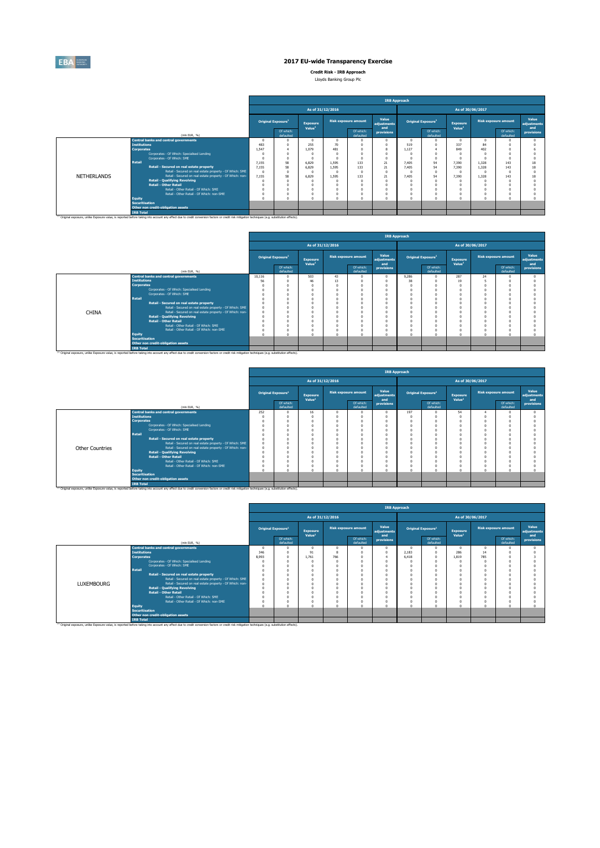

**Credit Risk - IRB Approach** Lloyds Banking Group Plc

|                    |                                                           |                                |                        |                                       |       |                             |                             | <b>IRB Approach</b> |                                |                                       |       |                             |                             |
|--------------------|-----------------------------------------------------------|--------------------------------|------------------------|---------------------------------------|-------|-----------------------------|-----------------------------|---------------------|--------------------------------|---------------------------------------|-------|-----------------------------|-----------------------------|
|                    |                                                           |                                |                        | As of 31/12/2016                      |       |                             |                             |                     |                                | As of 30/06/2017                      |       |                             |                             |
|                    |                                                           | Original Exposure <sup>1</sup> |                        | <b>Exposure</b><br>Value <sup>1</sup> |       | <b>Risk exposure amount</b> | Value<br>adiustments<br>and |                     | Original Exposure <sup>1</sup> | <b>Exposure</b><br>Value <sup>1</sup> |       | <b>Risk exposure amount</b> | Value<br>adiustments<br>and |
|                    | (mln EUR. %)                                              |                                | Of which:<br>defaulted |                                       |       | Of which:<br>defaulted      | provisions                  |                     | Of which:<br>defaulted         |                                       |       | Of which:<br>defaulted      | provisions                  |
|                    | <b>Central banks and central governments</b>              |                                |                        |                                       |       |                             |                             |                     | $\Omega$                       | n                                     | n     |                             |                             |
|                    | <b>Institutions</b>                                       | 483                            |                        | 255                                   | 70    |                             |                             | 519                 | $\Omega$                       | 337                                   | 84    |                             |                             |
|                    | <b>Corporates</b>                                         | 1.547                          |                        | 1.079                                 | 481   |                             |                             | 1,127               |                                | 849                                   | 402   |                             |                             |
|                    | Corporates - Of Which: Specialised Lending                |                                |                        |                                       |       |                             |                             |                     |                                |                                       |       |                             |                             |
|                    | Corporates - Of Which: SME                                |                                |                        |                                       |       |                             |                             |                     | $\Omega$                       |                                       |       |                             |                             |
|                    | <b>Retail</b>                                             | 7.155                          | 58                     | 6,829                                 | 1.595 | 133                         | 21                          | 7.405               | 54                             | 7.390                                 | 1.328 | 143                         | 18                          |
|                    | Retail - Secured on real estate property                  | 7.155                          | 58                     | 6,829                                 | 1,595 | 133                         | $21\,$                      | 7,405               | 54                             | 7,390                                 | 1.328 | 143                         | 18                          |
|                    | Retail - Secured on real estate property - Of Which: SME  |                                |                        |                                       |       |                             |                             |                     | $\Omega$                       |                                       |       |                             |                             |
| <b>NETHERLANDS</b> | Retail - Secured on real estate property - Of Which: non- | 7,155                          | 58                     | 6,829                                 | 1.595 | 133                         | 21                          | 7.405               | 54                             | 7,390                                 | 1.328 | 143                         | 18                          |
|                    | <b>Retail - Qualifying Revolving</b>                      |                                |                        |                                       |       |                             | -C                          |                     | $\Omega$                       |                                       |       |                             |                             |
|                    | <b>Retail - Other Retail</b>                              |                                |                        |                                       |       |                             |                             |                     | $\Omega$                       |                                       |       |                             |                             |
|                    | Retail - Other Retail - Of Which: SME                     |                                |                        |                                       |       |                             |                             |                     | $\Omega$                       |                                       |       |                             |                             |
|                    | Retail - Other Retail - Of Which: non-SME                 |                                |                        |                                       |       |                             |                             |                     |                                |                                       |       |                             |                             |
|                    | <b>Equity</b>                                             |                                |                        |                                       |       |                             |                             |                     | $\sim$                         |                                       |       | o                           |                             |
|                    | <b>Securitisation</b>                                     |                                |                        |                                       |       |                             |                             |                     |                                |                                       |       |                             |                             |
|                    | Other non credit-obligation assets                        |                                |                        |                                       |       |                             |                             |                     |                                |                                       |       |                             |                             |
|                    | <b>IRB Total</b>                                          |                                |                        |                                       |       |                             |                             |                     |                                |                                       |       |                             |                             |

|              |                       |                                                                                                                                                                                                    | <b>IRB Approach</b><br>As of 31/12/2016<br>As of 30/06/2017<br>Value<br><b>Risk exposure amount</b><br><b>Risk exposure amount</b><br>Original Exposure <sup>1</sup><br>Original Exposure <sup>1</sup><br><b>Exposure</b><br>Exposure<br>adjustments<br>Value <sup>1</sup><br>Value <sup>1</sup><br>and<br>Of which:<br>Of which:<br>Of which:<br>Of which:<br>provisions<br>defaulted<br>defaulted<br>defaulted<br>defaulted<br>287<br>503<br>9,286<br>10.116<br>43<br>$\Omega$<br>24<br>46<br>56<br>13<br>38<br>$\Omega$<br>19<br>$\Omega$<br>$\Omega$<br>$\Omega$<br>$\Omega$<br>$\Omega$<br>$\Omega$<br>$\Omega$<br>n |  |  |  |  |  |  |          |  |  |  |                             |  |
|--------------|-----------------------|----------------------------------------------------------------------------------------------------------------------------------------------------------------------------------------------------|---------------------------------------------------------------------------------------------------------------------------------------------------------------------------------------------------------------------------------------------------------------------------------------------------------------------------------------------------------------------------------------------------------------------------------------------------------------------------------------------------------------------------------------------------------------------------------------------------------------------------|--|--|--|--|--|--|----------|--|--|--|-----------------------------|--|
|              |                       |                                                                                                                                                                                                    |                                                                                                                                                                                                                                                                                                                                                                                                                                                                                                                                                                                                                           |  |  |  |  |  |  |          |  |  |  |                             |  |
|              |                       |                                                                                                                                                                                                    |                                                                                                                                                                                                                                                                                                                                                                                                                                                                                                                                                                                                                           |  |  |  |  |  |  |          |  |  |  | Value<br>adjustments<br>and |  |
|              |                       | (min EUR. %)                                                                                                                                                                                       |                                                                                                                                                                                                                                                                                                                                                                                                                                                                                                                                                                                                                           |  |  |  |  |  |  |          |  |  |  | provisions                  |  |
|              |                       | <b>Central banks and central governments</b>                                                                                                                                                       |                                                                                                                                                                                                                                                                                                                                                                                                                                                                                                                                                                                                                           |  |  |  |  |  |  |          |  |  |  |                             |  |
|              | <b>Institutions</b>   |                                                                                                                                                                                                    |                                                                                                                                                                                                                                                                                                                                                                                                                                                                                                                                                                                                                           |  |  |  |  |  |  |          |  |  |  |                             |  |
|              | <b>Corporates</b>     |                                                                                                                                                                                                    |                                                                                                                                                                                                                                                                                                                                                                                                                                                                                                                                                                                                                           |  |  |  |  |  |  |          |  |  |  |                             |  |
|              |                       | Corporates - Of Which: Specialised Lending                                                                                                                                                         |                                                                                                                                                                                                                                                                                                                                                                                                                                                                                                                                                                                                                           |  |  |  |  |  |  |          |  |  |  |                             |  |
|              |                       | Corporates - Of Which: SME                                                                                                                                                                         |                                                                                                                                                                                                                                                                                                                                                                                                                                                                                                                                                                                                                           |  |  |  |  |  |  |          |  |  |  |                             |  |
|              | <b>Retail</b>         |                                                                                                                                                                                                    |                                                                                                                                                                                                                                                                                                                                                                                                                                                                                                                                                                                                                           |  |  |  |  |  |  |          |  |  |  |                             |  |
|              |                       | Retail - Secured on real estate property                                                                                                                                                           |                                                                                                                                                                                                                                                                                                                                                                                                                                                                                                                                                                                                                           |  |  |  |  |  |  |          |  |  |  |                             |  |
|              |                       | Retail - Secured on real estate property - Of Which: SME                                                                                                                                           |                                                                                                                                                                                                                                                                                                                                                                                                                                                                                                                                                                                                                           |  |  |  |  |  |  |          |  |  |  |                             |  |
| <b>CHINA</b> |                       | Retail - Secured on real estate property - Of Which: non-                                                                                                                                          |                                                                                                                                                                                                                                                                                                                                                                                                                                                                                                                                                                                                                           |  |  |  |  |  |  | $\Omega$ |  |  |  |                             |  |
|              |                       | <b>Retail - Qualifying Revolving</b>                                                                                                                                                               |                                                                                                                                                                                                                                                                                                                                                                                                                                                                                                                                                                                                                           |  |  |  |  |  |  | $\Omega$ |  |  |  |                             |  |
|              |                       | <b>Retail - Other Retail</b>                                                                                                                                                                       |                                                                                                                                                                                                                                                                                                                                                                                                                                                                                                                                                                                                                           |  |  |  |  |  |  | $\Omega$ |  |  |  |                             |  |
|              |                       | Retail - Other Retail - Of Which: SME                                                                                                                                                              |                                                                                                                                                                                                                                                                                                                                                                                                                                                                                                                                                                                                                           |  |  |  |  |  |  | $\Omega$ |  |  |  |                             |  |
|              |                       | Retail - Other Retail - Of Which: non-SME                                                                                                                                                          |                                                                                                                                                                                                                                                                                                                                                                                                                                                                                                                                                                                                                           |  |  |  |  |  |  | $\Omega$ |  |  |  |                             |  |
|              | Equity                |                                                                                                                                                                                                    |                                                                                                                                                                                                                                                                                                                                                                                                                                                                                                                                                                                                                           |  |  |  |  |  |  | $\alpha$ |  |  |  |                             |  |
|              | <b>Securitisation</b> |                                                                                                                                                                                                    |                                                                                                                                                                                                                                                                                                                                                                                                                                                                                                                                                                                                                           |  |  |  |  |  |  |          |  |  |  |                             |  |
|              |                       | Other non credit-obligation assets                                                                                                                                                                 |                                                                                                                                                                                                                                                                                                                                                                                                                                                                                                                                                                                                                           |  |  |  |  |  |  |          |  |  |  |                             |  |
|              | <b>IRB Total</b>      |                                                                                                                                                                                                    |                                                                                                                                                                                                                                                                                                                                                                                                                                                                                                                                                                                                                           |  |  |  |  |  |  |          |  |  |  |                             |  |
|              |                       | (1) Original exposure, unlike Exposure value, is reported before taking into account any effect due to credit conversion factors or credit risk mitigation techniques (e.g. substitution effects). |                                                                                                                                                                                                                                                                                                                                                                                                                                                                                                                                                                                                                           |  |  |  |  |  |  |          |  |  |  |                             |  |

|                 |                                 |                                                                                                                                                                                                               |     |                                |                                |                      |                        |                      | <b>IRB Approach</b> |                                |                                       |                             |                      |
|-----------------|---------------------------------|---------------------------------------------------------------------------------------------------------------------------------------------------------------------------------------------------------------|-----|--------------------------------|--------------------------------|----------------------|------------------------|----------------------|---------------------|--------------------------------|---------------------------------------|-----------------------------|----------------------|
|                 |                                 |                                                                                                                                                                                                               |     |                                |                                | As of 31/12/2016     |                        |                      |                     |                                | As of 30/06/2017                      |                             |                      |
|                 |                                 |                                                                                                                                                                                                               |     | Original Exposure <sup>1</sup> | Exposure<br>Value <sup>1</sup> | Risk exposure amount |                        | Value<br>adjustments |                     | Original Exposure <sup>1</sup> | <b>Exposure</b><br>Value <sup>1</sup> | <b>Risk exposure amount</b> | Value<br>adjustments |
|                 |                                 | (min EUR, %)                                                                                                                                                                                                  |     | Of which:<br>defaulted         |                                |                      | Of which:<br>defaulted | and<br>provisions    |                     | Of which:<br>defaulted         |                                       | Of which:<br>defaulted      | and<br>provisions    |
|                 |                                 | <b>Central banks and central governments</b>                                                                                                                                                                  | 252 |                                | 16                             |                      |                        | $\Omega$             | 197                 |                                | 54                                    |                             |                      |
|                 | <b>Institutions</b>             |                                                                                                                                                                                                               |     |                                |                                |                      |                        |                      |                     |                                |                                       |                             |                      |
|                 | <b>Corporates</b>               |                                                                                                                                                                                                               |     |                                |                                |                      |                        |                      |                     |                                |                                       |                             |                      |
|                 |                                 | Corporates - Of Which: Specialised Lending                                                                                                                                                                    |     |                                |                                |                      |                        |                      |                     |                                |                                       |                             |                      |
|                 |                                 | Corporates - Of Which: SME                                                                                                                                                                                    |     |                                |                                |                      |                        |                      |                     |                                |                                       |                             |                      |
|                 | <b>Retail</b>                   |                                                                                                                                                                                                               |     |                                |                                |                      |                        |                      |                     |                                |                                       |                             |                      |
|                 |                                 | Retail - Secured on real estate property                                                                                                                                                                      |     |                                |                                |                      |                        |                      |                     |                                |                                       |                             |                      |
|                 |                                 | Retail - Secured on real estate property - Of Which: SME                                                                                                                                                      |     |                                |                                |                      |                        |                      |                     |                                |                                       |                             |                      |
| Other Countries |                                 | Retail - Secured on real estate property - Of Which: non-                                                                                                                                                     |     |                                |                                |                      |                        |                      |                     |                                |                                       |                             |                      |
|                 |                                 | <b>Retail - Qualifying Revolving</b>                                                                                                                                                                          |     |                                |                                |                      |                        |                      |                     |                                |                                       |                             |                      |
|                 |                                 | <b>Retail - Other Retail</b>                                                                                                                                                                                  |     |                                |                                |                      |                        |                      |                     |                                |                                       |                             |                      |
|                 |                                 | Retail - Other Retail - Of Which: SME                                                                                                                                                                         |     |                                |                                |                      |                        |                      |                     |                                |                                       |                             |                      |
|                 |                                 | Retail - Other Retail - Of Which: non-SME                                                                                                                                                                     |     |                                |                                |                      | $\Omega$               | $\Omega$             | O                   |                                |                                       |                             |                      |
|                 | Equity<br><b>Securitisation</b> |                                                                                                                                                                                                               |     |                                | $\Delta$                       |                      |                        | $\theta$             | $\theta$            |                                |                                       |                             |                      |
|                 |                                 |                                                                                                                                                                                                               |     |                                |                                |                      |                        |                      |                     |                                |                                       |                             |                      |
|                 |                                 | Other non credit-obligation assets                                                                                                                                                                            |     |                                |                                |                      |                        |                      |                     |                                |                                       |                             |                      |
|                 | <b>IRB Total</b>                | <sup>(1)</sup> Original exposure, unlike Exposure value, is reported before taking into account any effect due to credit conversion factors or credit risk mitigation techniques (e.g. substitution effects). |     |                                |                                |                      |                        |                      |                     |                                |                                       |                             |                      |

|                                                                                                                                                                                                               |                                              |                                                           |          |                                |                    |                  |                             | <b>IRB Approach</b>  |                                |                        |                    |     |                             |                             |
|---------------------------------------------------------------------------------------------------------------------------------------------------------------------------------------------------------------|----------------------------------------------|-----------------------------------------------------------|----------|--------------------------------|--------------------|------------------|-----------------------------|----------------------|--------------------------------|------------------------|--------------------|-----|-----------------------------|-----------------------------|
|                                                                                                                                                                                                               |                                              |                                                           |          |                                |                    | As of 31/12/2016 |                             |                      |                                |                        | As of 30/06/2017   |     |                             |                             |
|                                                                                                                                                                                                               |                                              |                                                           |          | Original Exposure <sup>1</sup> | <b>Exposure</b>    |                  | <b>Risk exposure amount</b> | Value<br>adjustments | Original Exposure <sup>1</sup> |                        | Exposure           |     | <b>Risk exposure amount</b> | Value<br>adjustments<br>and |
|                                                                                                                                                                                                               |                                              | (min EUR. %)                                              |          | Of which:<br>defaulted         | Value <sup>1</sup> |                  | Of which:<br>defaulted      | and<br>provisions    |                                | Of which:<br>defaulted | Value <sup>1</sup> |     | Of which:<br>defaulted      | provisions                  |
|                                                                                                                                                                                                               | <b>Central banks and central governments</b> |                                                           | $\Omega$ |                                |                    |                  |                             |                      |                                |                        | $\Omega$           | n   |                             |                             |
|                                                                                                                                                                                                               | <b>Institutions</b>                          |                                                           | 346      |                                | 91                 |                  |                             |                      | 2.183                          |                        | 286                | 14  |                             |                             |
|                                                                                                                                                                                                               | <b>Corporates</b>                            |                                                           | 8,993    |                                | 1.761              | 766              |                             |                      | 6.418                          |                        | 1.819              | 785 |                             |                             |
|                                                                                                                                                                                                               | Corporates - Of Which: Specialised Lending   |                                                           |          |                                |                    |                  |                             |                      |                                |                        |                    |     |                             |                             |
|                                                                                                                                                                                                               | Corporates - Of Which: SME                   |                                                           |          |                                |                    |                  |                             |                      |                                |                        |                    |     |                             |                             |
|                                                                                                                                                                                                               | Retail                                       |                                                           |          |                                |                    |                  |                             |                      |                                |                        |                    |     |                             |                             |
|                                                                                                                                                                                                               | Retail - Secured on real estate property     |                                                           |          |                                |                    |                  |                             |                      |                                |                        |                    |     |                             |                             |
|                                                                                                                                                                                                               |                                              | Retail - Secured on real estate property - Of Which: SME  |          |                                |                    |                  |                             |                      |                                |                        |                    |     |                             |                             |
| <b>LUXEMBOURG</b>                                                                                                                                                                                             |                                              | Retail - Secured on real estate property - Of Which: non- |          |                                |                    |                  |                             |                      |                                |                        |                    |     |                             |                             |
|                                                                                                                                                                                                               | <b>Retail - Qualifying Revolving</b>         |                                                           |          |                                |                    |                  |                             |                      |                                |                        |                    |     |                             |                             |
|                                                                                                                                                                                                               | <b>Retail - Other Retail</b>                 |                                                           |          |                                |                    |                  |                             |                      |                                |                        |                    |     |                             |                             |
|                                                                                                                                                                                                               |                                              | Retail - Other Retail - Of Which: SME                     |          |                                |                    |                  |                             |                      |                                |                        |                    |     |                             |                             |
|                                                                                                                                                                                                               |                                              | Retail - Other Retail - Of Which: non-SME                 |          |                                |                    |                  |                             |                      | ×                              |                        |                    |     |                             |                             |
|                                                                                                                                                                                                               | Equity                                       |                                                           |          |                                |                    |                  |                             |                      |                                |                        |                    |     |                             |                             |
|                                                                                                                                                                                                               | <b>Securitisation</b>                        |                                                           |          |                                |                    |                  |                             |                      |                                |                        |                    |     |                             |                             |
|                                                                                                                                                                                                               | Other non credit-obligation assets           |                                                           |          |                                |                    |                  |                             |                      |                                |                        |                    |     |                             |                             |
| <sup>(1)</sup> Original exposure, unlike Exposure value, is reported before taking into account any effect due to credit conversion factors or credit risk mitigation techniques (e.g. substitution effects). | <b>IRB Total</b>                             |                                                           |          |                                |                    |                  |                             |                      |                                |                        |                    |     |                             |                             |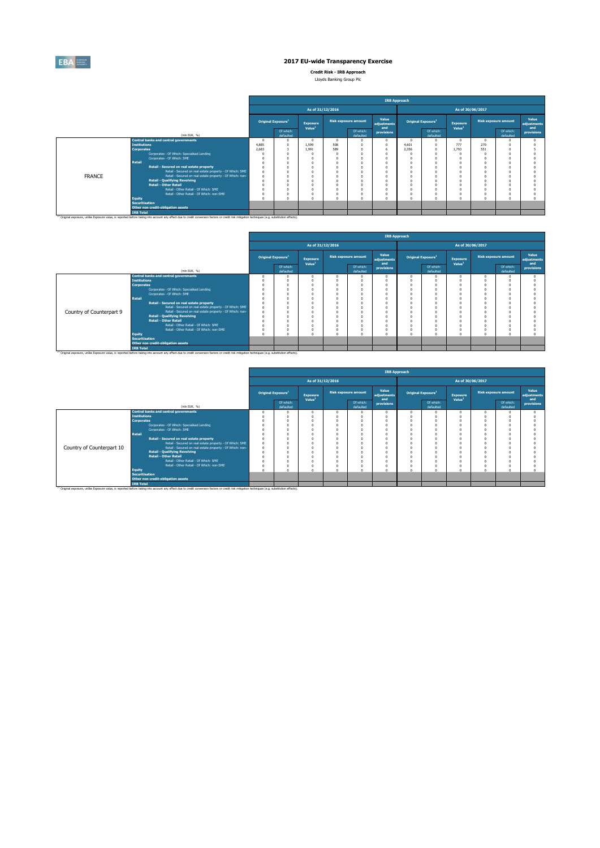

**Credit Risk - IRB Approach** Lloyds Banking Group Plc

|  | LICATION DOMINING QIODD FIC |
|--|-----------------------------|
|  |                             |

|               |                       |                                                                                                                                                                                                               |                                       |                        |                                       |                             |                        | <b>IRB Approach</b>         |                                |                        |                                       |        |                             |                             |  |  |
|---------------|-----------------------|---------------------------------------------------------------------------------------------------------------------------------------------------------------------------------------------------------------|---------------------------------------|------------------------|---------------------------------------|-----------------------------|------------------------|-----------------------------|--------------------------------|------------------------|---------------------------------------|--------|-----------------------------|-----------------------------|--|--|
|               |                       |                                                                                                                                                                                                               |                                       |                        |                                       | As of 31/12/2016            |                        |                             | As of 30/06/2017               |                        |                                       |        |                             |                             |  |  |
|               |                       |                                                                                                                                                                                                               | <b>Original Exposure</b> <sup>1</sup> |                        | <b>Exposure</b><br>Value <sup>1</sup> | <b>Risk exposure amount</b> |                        | Value<br>adjustments<br>and | Original Exposure <sup>1</sup> |                        | <b>Exposure</b><br>Value <sup>1</sup> |        | <b>Risk exposure amount</b> | Value<br>adiustments<br>and |  |  |
| (min EUR, %)  |                       |                                                                                                                                                                                                               |                                       | Of which:<br>defaulted |                                       |                             | Of which:<br>defaulted | provisions                  |                                | Of which:<br>defaulted |                                       |        | Of which:<br>defaulted      | provisions                  |  |  |
|               |                       | <b>Central banks and central governments</b>                                                                                                                                                                  |                                       |                        |                                       |                             |                        |                             | n                              | $\Omega$               |                                       |        |                             |                             |  |  |
|               | <b>Institutions</b>   |                                                                                                                                                                                                               | 4.885                                 |                        | 1.599                                 | 508                         |                        |                             | 4,601                          | $\Omega$               | 777                                   | 270    |                             |                             |  |  |
|               | <b>Corporates</b>     |                                                                                                                                                                                                               | 2,683                                 |                        | 1.991                                 | 589                         |                        |                             | 2.356                          | $\Omega$               | 1.793                                 | 551    |                             |                             |  |  |
|               |                       | Corporates - Of Which: Specialised Lending                                                                                                                                                                    |                                       |                        |                                       |                             |                        |                             |                                | $\Omega$               |                                       |        |                             |                             |  |  |
|               |                       | Corporates - Of Which: SME                                                                                                                                                                                    |                                       |                        |                                       |                             |                        |                             |                                |                        |                                       |        |                             |                             |  |  |
|               | <b>Retail</b>         |                                                                                                                                                                                                               |                                       |                        |                                       |                             |                        |                             |                                |                        |                                       |        |                             |                             |  |  |
|               |                       | Retail - Secured on real estate property                                                                                                                                                                      |                                       |                        |                                       |                             |                        |                             | $\Omega$                       |                        |                                       |        |                             |                             |  |  |
|               |                       | Retail - Secured on real estate property - Of Which: SME                                                                                                                                                      |                                       |                        |                                       |                             |                        |                             | $\Omega$                       |                        |                                       |        |                             |                             |  |  |
| <b>FRANCE</b> |                       | Retail - Secured on real estate property - Of Which: non-<br><b>Retail - Qualifying Revolving</b>                                                                                                             |                                       |                        |                                       |                             |                        |                             | $\Omega$                       |                        |                                       |        |                             |                             |  |  |
|               |                       | <b>Retail - Other Retail</b>                                                                                                                                                                                  |                                       |                        |                                       |                             |                        |                             | $\Omega$                       |                        |                                       |        |                             |                             |  |  |
|               |                       | Retail - Other Retail - Of Which: SME                                                                                                                                                                         |                                       |                        |                                       |                             |                        |                             |                                |                        |                                       |        |                             |                             |  |  |
|               |                       | Retail - Other Retail - Of Which: non-SME                                                                                                                                                                     |                                       |                        |                                       |                             |                        |                             | $\Omega$                       |                        |                                       |        |                             |                             |  |  |
|               | Equity                |                                                                                                                                                                                                               |                                       |                        |                                       |                             |                        |                             | $\Omega$                       | $\Omega$               |                                       | $\sim$ |                             |                             |  |  |
|               | <b>Securitisation</b> |                                                                                                                                                                                                               |                                       |                        |                                       |                             |                        |                             |                                |                        |                                       |        |                             |                             |  |  |
|               |                       | Other non credit-obligation assets                                                                                                                                                                            |                                       |                        |                                       |                             |                        |                             |                                |                        |                                       |        |                             |                             |  |  |
|               | <b>IRB Total</b>      |                                                                                                                                                                                                               |                                       |                        |                                       |                             |                        |                             |                                |                        |                                       |        |                             |                             |  |  |
|               |                       | <sup>(1)</sup> Original exposure, unlike Exposure value, is reported before taking into account any effect due to credit conversion factors or credit risk mitigation techniques (e.g. substitution effects). |                                       |                        |                                       |                             |                        |                             |                                |                        |                                       |        |                             |                             |  |  |

|                          |                       |                                                                                                                                                                                                               | <b>IRB Approach</b> |                                |                                |                  |                        |                      |                                |                        |                                |                             |                        |                      |  |
|--------------------------|-----------------------|---------------------------------------------------------------------------------------------------------------------------------------------------------------------------------------------------------------|---------------------|--------------------------------|--------------------------------|------------------|------------------------|----------------------|--------------------------------|------------------------|--------------------------------|-----------------------------|------------------------|----------------------|--|
|                          |                       |                                                                                                                                                                                                               |                     |                                |                                | As of 31/12/2016 |                        |                      | As of 30/06/2017               |                        |                                |                             |                        |                      |  |
|                          |                       |                                                                                                                                                                                                               |                     | Original Exposure <sup>1</sup> | Exposure<br>Value <sup>1</sup> |                  | Risk exposure amount   | Value<br>adjustments | Original Exposure <sup>1</sup> |                        | Exposure<br>Value <sup>1</sup> | <b>Risk exposure amount</b> |                        | Value<br>adjustments |  |
|                          |                       | (min EUR, %)                                                                                                                                                                                                  |                     | Of which:<br>defaulted         |                                |                  | Of which:<br>defaulted | and<br>provisions    |                                | Of which:<br>defaulted |                                |                             | Of which:<br>defaulted | and<br>provisions    |  |
|                          |                       | <b>Central banks and central governments</b>                                                                                                                                                                  |                     | $\Omega$                       |                                |                  |                        | n                    | $\Omega$                       | $\Omega$               |                                |                             |                        |                      |  |
|                          | <b>Institutions</b>   |                                                                                                                                                                                                               |                     |                                |                                |                  |                        |                      |                                |                        |                                |                             |                        |                      |  |
|                          | <b>Corporates</b>     |                                                                                                                                                                                                               |                     |                                |                                |                  |                        |                      |                                | $\Omega$               |                                |                             |                        |                      |  |
|                          |                       | Corporates - Of Which: Specialised Lending                                                                                                                                                                    |                     |                                |                                |                  |                        |                      | n                              |                        |                                |                             |                        |                      |  |
|                          |                       | Corporates - Of Which: SME                                                                                                                                                                                    |                     |                                |                                |                  |                        |                      |                                |                        |                                |                             |                        |                      |  |
|                          | Retail                |                                                                                                                                                                                                               |                     |                                |                                |                  |                        |                      | $\Omega$                       | $\Omega$               |                                |                             |                        |                      |  |
|                          |                       | Retail - Secured on real estate property                                                                                                                                                                      |                     |                                |                                |                  |                        |                      |                                |                        |                                |                             |                        |                      |  |
|                          |                       | Retail - Secured on real estate property - Of Which: SME                                                                                                                                                      |                     |                                |                                |                  |                        |                      |                                | $\Omega$               |                                |                             |                        |                      |  |
| Country of Counterpart 9 |                       | Retail - Secured on real estate property - Of Which: non-                                                                                                                                                     |                     |                                |                                |                  |                        |                      |                                |                        |                                |                             |                        |                      |  |
|                          |                       | <b>Retail - Qualifying Revolving</b>                                                                                                                                                                          |                     |                                |                                |                  |                        |                      |                                |                        |                                |                             |                        |                      |  |
|                          |                       | <b>Retail - Other Retail</b>                                                                                                                                                                                  |                     |                                |                                |                  |                        |                      |                                |                        |                                |                             |                        |                      |  |
|                          |                       | Retail - Other Retail - Of Which: SME                                                                                                                                                                         |                     |                                |                                |                  |                        |                      |                                |                        |                                |                             |                        |                      |  |
|                          |                       | Retail - Other Retail - Of Which: non-SME                                                                                                                                                                     |                     |                                |                                |                  |                        |                      | $^{\circ}$                     | $\Omega$               |                                |                             |                        |                      |  |
|                          | <b>Equity</b>         |                                                                                                                                                                                                               |                     |                                |                                |                  |                        |                      | $\theta$                       |                        |                                |                             |                        |                      |  |
|                          | <b>Securitisation</b> |                                                                                                                                                                                                               |                     |                                |                                |                  |                        |                      |                                |                        |                                |                             |                        |                      |  |
|                          |                       | Other non credit-obligation assets                                                                                                                                                                            |                     |                                |                                |                  |                        |                      |                                |                        |                                |                             |                        |                      |  |
|                          | <b>IRB Total</b>      |                                                                                                                                                                                                               |                     |                                |                                |                  |                        |                      |                                |                        |                                |                             |                        |                      |  |
|                          |                       | <sup>(1)</sup> Original exposure, unlike Exposure value, is reported before taking into account any effect due to credit conversion factors or credit risk mitigation techniques (e.g. substitution effects). |                     |                                |                                |                  |                        |                      |                                |                        |                                |                             |                        |                      |  |

|                           |                       |                                                                                                                                                                                                               | <b>IRB Approach</b> |                                                   |                    |                             |                        |                             |                                |                        |                                       |  |                             |                             |  |
|---------------------------|-----------------------|---------------------------------------------------------------------------------------------------------------------------------------------------------------------------------------------------------------|---------------------|---------------------------------------------------|--------------------|-----------------------------|------------------------|-----------------------------|--------------------------------|------------------------|---------------------------------------|--|-----------------------------|-----------------------------|--|
|                           |                       |                                                                                                                                                                                                               |                     |                                                   | As of 31/12/2016   |                             |                        |                             | As of 30/06/2017               |                        |                                       |  |                             |                             |  |
|                           |                       |                                                                                                                                                                                                               |                     | Original Exposure <sup>1</sup><br><b>Exposure</b> |                    | <b>Risk exposure amount</b> |                        | Value<br>adjustments<br>and | Original Exposure <sup>1</sup> |                        | <b>Exposure</b><br>Value <sup>1</sup> |  | <b>Risk exposure amount</b> | Value<br>adjustments<br>and |  |
| (min EUR, %)              |                       |                                                                                                                                                                                                               |                     | Of which:<br>defaulted                            | Value <sup>1</sup> |                             | Of which:<br>defaulted | provisions                  |                                | Of which:<br>defaulted |                                       |  | Of which:<br>defaulted      | provisions                  |  |
|                           |                       | <b>Central banks and central governments</b>                                                                                                                                                                  |                     |                                                   |                    |                             |                        |                             | n                              |                        | $\Omega$                              |  |                             |                             |  |
|                           | <b>Institutions</b>   |                                                                                                                                                                                                               |                     |                                                   |                    |                             | $\sqrt{2}$             |                             |                                |                        |                                       |  |                             |                             |  |
|                           | <b>Corporates</b>     |                                                                                                                                                                                                               |                     |                                                   |                    |                             |                        |                             |                                |                        |                                       |  |                             |                             |  |
|                           |                       | Corporates - Of Which: Specialised Lending                                                                                                                                                                    |                     |                                                   |                    |                             | $\sqrt{2}$             |                             |                                |                        |                                       |  |                             |                             |  |
|                           |                       | Corporates - Of Which: SME                                                                                                                                                                                    |                     |                                                   |                    |                             |                        |                             |                                |                        |                                       |  |                             |                             |  |
|                           | Retail                |                                                                                                                                                                                                               |                     |                                                   |                    |                             |                        |                             |                                |                        |                                       |  |                             |                             |  |
|                           |                       | Retail - Secured on real estate property                                                                                                                                                                      |                     |                                                   |                    |                             |                        |                             |                                |                        |                                       |  |                             |                             |  |
|                           |                       | Retail - Secured on real estate property - Of Which: SME                                                                                                                                                      |                     |                                                   |                    |                             |                        |                             |                                |                        |                                       |  |                             |                             |  |
| Country of Counterpart 10 |                       | Retail - Secured on real estate property - Of Which: non-                                                                                                                                                     |                     |                                                   |                    |                             |                        |                             |                                |                        |                                       |  |                             |                             |  |
|                           |                       | <b>Retail - Qualifying Revolving</b>                                                                                                                                                                          |                     |                                                   |                    |                             |                        |                             |                                |                        |                                       |  |                             |                             |  |
|                           |                       | <b>Retail - Other Retail</b>                                                                                                                                                                                  |                     |                                                   |                    |                             |                        |                             |                                |                        |                                       |  |                             |                             |  |
|                           |                       | Retail - Other Retail - Of Which: SME                                                                                                                                                                         |                     |                                                   |                    |                             |                        |                             |                                |                        |                                       |  |                             |                             |  |
|                           |                       | Retail - Other Retail - Of Which: non-SME                                                                                                                                                                     |                     |                                                   |                    |                             |                        |                             |                                |                        |                                       |  |                             |                             |  |
|                           | Equity                |                                                                                                                                                                                                               |                     |                                                   |                    |                             | $\sim$                 |                             |                                |                        |                                       |  |                             |                             |  |
|                           | <b>Securitisation</b> |                                                                                                                                                                                                               |                     |                                                   |                    |                             |                        |                             |                                |                        |                                       |  |                             |                             |  |
|                           |                       | Other non credit-obligation assets                                                                                                                                                                            |                     |                                                   |                    |                             |                        |                             |                                |                        |                                       |  |                             |                             |  |
|                           | <b>IRB Total</b>      |                                                                                                                                                                                                               |                     |                                                   |                    |                             |                        |                             |                                |                        |                                       |  |                             |                             |  |
|                           |                       | <sup>(1)</sup> Original exposure, unlike Exposure value, is reported before taking into account any effect due to credit conversion factors or credit risk mitigation techniques (e.g. substitution effects). |                     |                                                   |                    |                             |                        |                             |                                |                        |                                       |  |                             |                             |  |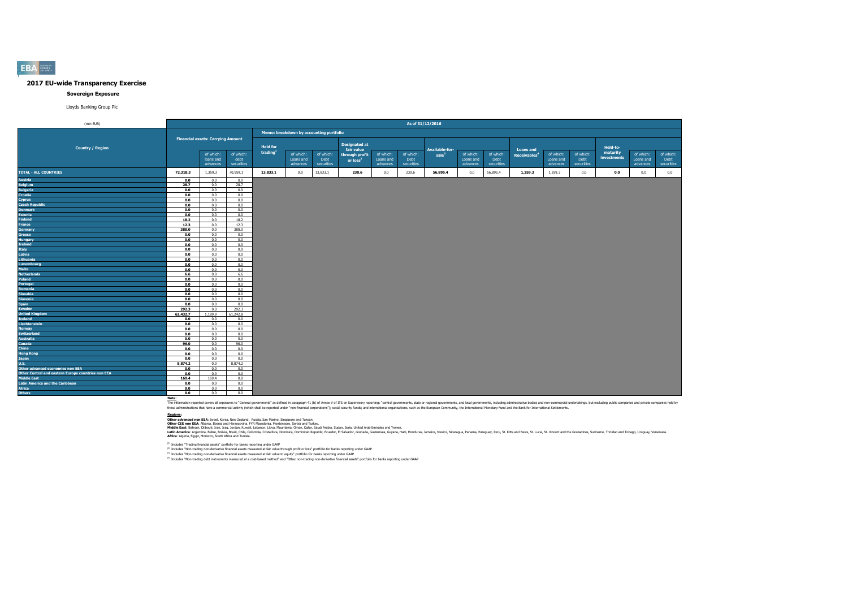#### **Sovereign Exposure**

Lloyds Banking Group Plc

| (mln EUR)                                          |          |                                          |                   |                                         |                        |                      |                                        |                        | As of 31/12/2016  |                       |                        |                   |                          |                        |                   |                      |                        |                   |
|----------------------------------------------------|----------|------------------------------------------|-------------------|-----------------------------------------|------------------------|----------------------|----------------------------------------|------------------------|-------------------|-----------------------|------------------------|-------------------|--------------------------|------------------------|-------------------|----------------------|------------------------|-------------------|
|                                                    |          |                                          |                   | Memo: breakdown by accounting portfolio |                        |                      |                                        |                        |                   |                       |                        |                   |                          |                        |                   |                      |                        |                   |
|                                                    |          | <b>Financial assets: Carrying Amount</b> |                   |                                         |                        | <b>Designated at</b> |                                        |                        |                   |                       |                        |                   |                          |                        |                   |                      |                        |                   |
| <b>Country / Region</b>                            |          |                                          |                   | <b>Held for</b><br>trading              |                        |                      | fair value                             |                        |                   | <b>Available-for-</b> |                        |                   | <b>Loans and</b>         |                        |                   | Held-to-<br>maturity |                        |                   |
|                                                    |          | of which:<br>loans and                   | of which:<br>debt |                                         | of which:<br>Loans and | of which:<br>Debt    | through profit<br>or loss <sup>2</sup> | of which:<br>Loans and | of which:<br>Debt | sale <sup>3</sup>     | of which:<br>Loans and | of which:<br>Debt | Receivables <sup>4</sup> | of which:<br>Loans and | of which:<br>Debt | investments          | of which:<br>Loans and | of which:<br>Debt |
|                                                    |          | advances                                 | securities        |                                         | advances               | securities           |                                        | advances               | securities        |                       | advances               | securities        |                          | advances               | securities        |                      | advances               | securities        |
| <b>TOTAL - ALL COUNTRIES</b>                       | 72,318.3 | 1,359.3                                  | 70,959.1          | 13,833.1                                | 0.0                    | 13,833.1             | 230.6                                  | 0.0                    | 230.6             | 56,895.4              | 0.0                    | 56,895.4          | 1,359.3                  | 1,359.3                | 0.0               | 0.0                  | 0.0                    | 0.0               |
| Austria                                            | 0.0      | 0.0                                      | 0.0               |                                         |                        |                      |                                        |                        |                   |                       |                        |                   |                          |                        |                   |                      |                        |                   |
| <b>Belgium</b>                                     | 28.7     | 0.0                                      | 28.7              |                                         |                        |                      |                                        |                        |                   |                       |                        |                   |                          |                        |                   |                      |                        |                   |
| <b>Bulgaria</b>                                    | 0.0      | 0.0                                      | 0.0               |                                         |                        |                      |                                        |                        |                   |                       |                        |                   |                          |                        |                   |                      |                        |                   |
| <b>Croatia</b>                                     | 0.0      | 0.0                                      | 0.0               |                                         |                        |                      |                                        |                        |                   |                       |                        |                   |                          |                        |                   |                      |                        |                   |
| Cyprus                                             | 0.0      | 0.0                                      | 0.0               |                                         |                        |                      |                                        |                        |                   |                       |                        |                   |                          |                        |                   |                      |                        |                   |
| <b>Czech Republic</b>                              | 0.0      | 0.0                                      | 0.0               |                                         |                        |                      |                                        |                        |                   |                       |                        |                   |                          |                        |                   |                      |                        |                   |
| <b>Denmark</b>                                     | 0.0      | 0.0                                      | 0.0               |                                         |                        |                      |                                        |                        |                   |                       |                        |                   |                          |                        |                   |                      |                        |                   |
| <b>Estonia</b>                                     | 0.0      | 0.0                                      | 0.0               |                                         |                        |                      |                                        |                        |                   |                       |                        |                   |                          |                        |                   |                      |                        |                   |
| Finland                                            | 18.2     | 0.0                                      | 18.2              |                                         |                        |                      |                                        |                        |                   |                       |                        |                   |                          |                        |                   |                      |                        |                   |
| France                                             | 12.3     | 0.0                                      | 12.3              |                                         |                        |                      |                                        |                        |                   |                       |                        |                   |                          |                        |                   |                      |                        |                   |
| <b>Germany</b>                                     | 388.0    | 0.0                                      | 388.0             |                                         |                        |                      |                                        |                        |                   |                       |                        |                   |                          |                        |                   |                      |                        |                   |
| Greece                                             | 0.0      | 0.0                                      | 0.0               |                                         |                        |                      |                                        |                        |                   |                       |                        |                   |                          |                        |                   |                      |                        |                   |
| Hungary                                            | 0.0      | 0.0                                      | 0.0               |                                         |                        |                      |                                        |                        |                   |                       |                        |                   |                          |                        |                   |                      |                        |                   |
| Ireland                                            | 0.0      | 0.0                                      | 0.0               |                                         |                        |                      |                                        |                        |                   |                       |                        |                   |                          |                        |                   |                      |                        |                   |
| <b>Italy</b>                                       | 0.0      | 0.0                                      | 0.0               |                                         |                        |                      |                                        |                        |                   |                       |                        |                   |                          |                        |                   |                      |                        |                   |
| Latvia                                             | 0.0      | 0.0                                      | 0.0               |                                         |                        |                      |                                        |                        |                   |                       |                        |                   |                          |                        |                   |                      |                        |                   |
| Lithuania                                          | 0.0      | 0.0                                      | 0.0               |                                         |                        |                      |                                        |                        |                   |                       |                        |                   |                          |                        |                   |                      |                        |                   |
| Luxembourg                                         | 0.0      | 0.0                                      | 0.0               |                                         |                        |                      |                                        |                        |                   |                       |                        |                   |                          |                        |                   |                      |                        |                   |
| Malta                                              | 0.0      | 0.0                                      | 0.0               |                                         |                        |                      |                                        |                        |                   |                       |                        |                   |                          |                        |                   |                      |                        |                   |
| <b>Netherlands</b>                                 | 6.6      | 0.0                                      | 6.6               |                                         |                        |                      |                                        |                        |                   |                       |                        |                   |                          |                        |                   |                      |                        |                   |
| Poland                                             | 0.0      | 0.0                                      | 0.0               |                                         |                        |                      |                                        |                        |                   |                       |                        |                   |                          |                        |                   |                      |                        |                   |
| Portugal                                           | 0.0      | 0.0                                      | 0.0               |                                         |                        |                      |                                        |                        |                   |                       |                        |                   |                          |                        |                   |                      |                        |                   |
| Romania                                            | 0.0      | 0.0                                      | 0.0               |                                         |                        |                      |                                        |                        |                   |                       |                        |                   |                          |                        |                   |                      |                        |                   |
| <b>Slovakia</b>                                    | 0.0      | 0.0                                      | 0.0               |                                         |                        |                      |                                        |                        |                   |                       |                        |                   |                          |                        |                   |                      |                        |                   |
| Slovenia                                           | 0.0      | 0.0                                      | 0.0               |                                         |                        |                      |                                        |                        |                   |                       |                        |                   |                          |                        |                   |                      |                        |                   |
| Spain                                              | 0.0      | 0.0                                      | 0.0               |                                         |                        |                      |                                        |                        |                   |                       |                        |                   |                          |                        |                   |                      |                        |                   |
| <b>Sweden</b>                                      | 292.3    | 0.0                                      | 292.3             |                                         |                        |                      |                                        |                        |                   |                       |                        |                   |                          |                        |                   |                      |                        |                   |
| <b>United Kingdom</b>                              | 62,432.7 | 1,189.9                                  | 61,242.8          |                                         |                        |                      |                                        |                        |                   |                       |                        |                   |                          |                        |                   |                      |                        |                   |
| Iceland                                            | 0.0      | 0.0                                      | 0.0               |                                         |                        |                      |                                        |                        |                   |                       |                        |                   |                          |                        |                   |                      |                        |                   |
| Liechtenstein                                      | 0.0      | 0.0                                      | 0.0               |                                         |                        |                      |                                        |                        |                   |                       |                        |                   |                          |                        |                   |                      |                        |                   |
| Norway                                             | 0.0      | 0.0                                      | 0.0               |                                         |                        |                      |                                        |                        |                   |                       |                        |                   |                          |                        |                   |                      |                        |                   |
| <b>Switzerland</b>                                 | 0.0      | 0.0                                      | 0.0               |                                         |                        |                      |                                        |                        |                   |                       |                        |                   |                          |                        |                   |                      |                        |                   |
| <b>Australia</b>                                   | 0.0      | 0.0                                      | 0.0               |                                         |                        |                      |                                        |                        |                   |                       |                        |                   |                          |                        |                   |                      |                        |                   |
| Canada                                             | 96.0     | 0.0                                      | 96.0              |                                         |                        |                      |                                        |                        |                   |                       |                        |                   |                          |                        |                   |                      |                        |                   |
| China                                              | 0.0      | 0.0                                      | 0.0               |                                         |                        |                      |                                        |                        |                   |                       |                        |                   |                          |                        |                   |                      |                        |                   |
| <b>Hong Kong</b>                                   | 0.0      | 0.0                                      | 0.0               |                                         |                        |                      |                                        |                        |                   |                       |                        |                   |                          |                        |                   |                      |                        |                   |
| Japan                                              | 0.0      | 0.0                                      | 0.0               |                                         |                        |                      |                                        |                        |                   |                       |                        |                   |                          |                        |                   |                      |                        |                   |
| U.S.                                               | 8,874.2  | 0.0                                      | 8,874.2           |                                         |                        |                      |                                        |                        |                   |                       |                        |                   |                          |                        |                   |                      |                        |                   |
| Other advanced economies non EEA                   | 0.0      | 0.0                                      | 0.0               |                                         |                        |                      |                                        |                        |                   |                       |                        |                   |                          |                        |                   |                      |                        |                   |
| Other Central and eastern Europe countries non EEA | 0.0      | 0.0                                      | 0.0               |                                         |                        |                      |                                        |                        |                   |                       |                        |                   |                          |                        |                   |                      |                        |                   |
| <b>Middle East</b>                                 | 169.4    | 169.4                                    | 0.0               |                                         |                        |                      |                                        |                        |                   |                       |                        |                   |                          |                        |                   |                      |                        |                   |
| <b>Latin America and the Caribbean</b>             | 0.0      | 0.0                                      | 0.0               |                                         |                        |                      |                                        |                        |                   |                       |                        |                   |                          |                        |                   |                      |                        |                   |
| Africa                                             | 0.0      | 0.0                                      | 0.0               |                                         |                        |                      |                                        |                        |                   |                       |                        |                   |                          |                        |                   |                      |                        |                   |
| <b>Others</b>                                      | 0.0      | 0.0                                      | 0.0               |                                         |                        |                      |                                        |                        |                   |                       |                        |                   |                          |                        |                   |                      |                        |                   |

Note:<br>The information reported covers all exposures to "General governments" as defined in paraggin 41 (b) of Annex V of ITS on Supervisory reporting: "central governments, state or regional governments, and both governmen

**Redions:**<br>Other afvanced non EEA: Israel, Korea, New Zealand, Russia, San Marino, Singore and Taiwan.<br>Middle East: Bahain, Dilouti, Iran, Iran, Jordan, Kuran, Libya, Mewhamenn: Semina, Oman, Suna, Suna, Suna, United Arab

(1) Includes "Trading financial assets" portfolio for banks reporting under GAAP

<sup>(2)</sup> Includes "Non-trading non-derivative financial assets measured at fair value through profit or loss" portfolio for banks reporting under GAAP<br><sup>03</sup> Includes "Non-trading non-derivative financial and and the major bank

**EBA**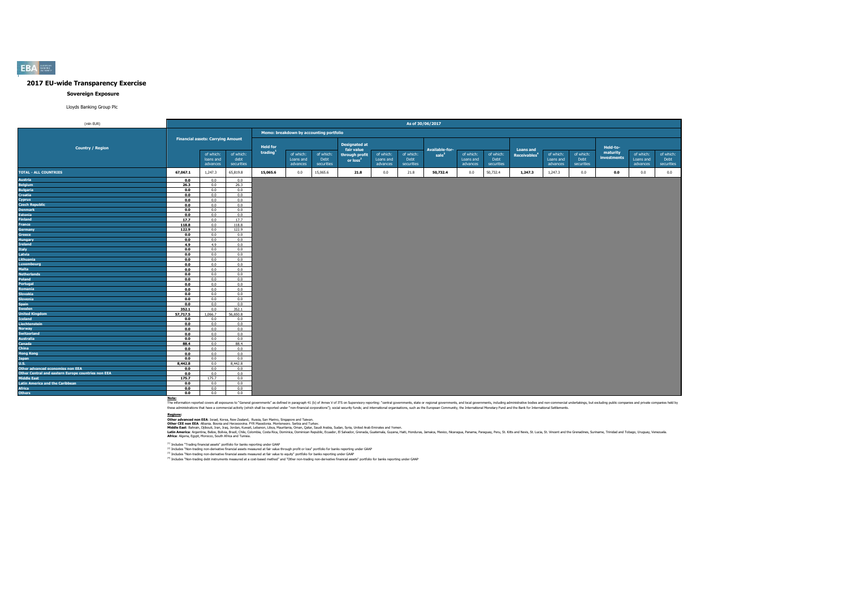#### **Sovereign Exposure**

Lloyds Banking Group Plc

| (mln EUR)                                          |          |                                          |                    |                            |                                         |                    |                              |                       | As of 30/06/2017   |                                     |                       |                    |                                                    |                       |                    |                      |                       |                    |
|----------------------------------------------------|----------|------------------------------------------|--------------------|----------------------------|-----------------------------------------|--------------------|------------------------------|-----------------------|--------------------|-------------------------------------|-----------------------|--------------------|----------------------------------------------------|-----------------------|--------------------|----------------------|-----------------------|--------------------|
|                                                    |          |                                          |                    |                            | Memo: breakdown by accounting portfolio |                    |                              |                       |                    |                                     |                       |                    |                                                    |                       |                    |                      |                       |                    |
|                                                    |          | <b>Financial assets: Carrying Amount</b> |                    |                            |                                         |                    | <b>Designated at</b>         |                       |                    |                                     |                       |                    |                                                    |                       |                    |                      |                       |                    |
| <b>Country / Region</b>                            |          | of which:                                | of which:          | <b>Held for</b><br>trading | of which:                               | of which:          | fair value<br>through profit | of which:             | of which:          | Available-for-<br>sale <sup>3</sup> | of which:             | of which:          | <b>Loans and</b><br><b>Receivables<sup>4</sup></b> | of which:             | of which:          | Held-to-<br>maturity | of which:             | of which:          |
|                                                    |          | loans and<br>advances                    | debt<br>securities |                            | Loans and<br>advances                   | Debt<br>securities | or loss <sup>2</sup>         | Loans and<br>advances | Debt<br>securities |                                     | Loans and<br>advances | Debt<br>securities |                                                    | Loans and<br>advances | Debt<br>securities | investments          | Loans and<br>advances | Debt<br>securities |
| <b>TOTAL - ALL COUNTRIES</b>                       | 67,067.1 | 1,247.3                                  | 65,819.8           | 15,065.6                   | 0.0                                     | 15,065.6           | 21.8                         | 0.0                   | 21.8               | 50,732.4                            | 0.0                   | 50,732.4           | 1,247.3                                            | 1,247.3               | 0.0                | 0.0                  | 0.0                   | 0.0                |
| Austria                                            | 0.0      | 0.0                                      | 0.0                |                            |                                         |                    |                              |                       |                    |                                     |                       |                    |                                                    |                       |                    |                      |                       |                    |
| <b>Belgium</b>                                     | 26.3     | 0.0                                      | 26.3               |                            |                                         |                    |                              |                       |                    |                                     |                       |                    |                                                    |                       |                    |                      |                       |                    |
| <b>Bulgaria</b>                                    | 0.0      | 0.0                                      | 0.0                |                            |                                         |                    |                              |                       |                    |                                     |                       |                    |                                                    |                       |                    |                      |                       |                    |
| <b>Croatia</b>                                     | 0.0      | 0.0                                      | 0.0                |                            |                                         |                    |                              |                       |                    |                                     |                       |                    |                                                    |                       |                    |                      |                       |                    |
| Cyprus                                             | 0.0      | 0.0                                      | 0.0                |                            |                                         |                    |                              |                       |                    |                                     |                       |                    |                                                    |                       |                    |                      |                       |                    |
| <b>Czech Republic</b>                              | 0.0      | 0.0                                      | 0.0                |                            |                                         |                    |                              |                       |                    |                                     |                       |                    |                                                    |                       |                    |                      |                       |                    |
| <b>Denmark</b>                                     | 0.0      | 0.0                                      | 0.0                |                            |                                         |                    |                              |                       |                    |                                     |                       |                    |                                                    |                       |                    |                      |                       |                    |
| <b>Estonia</b>                                     | 0.0      | 0.0                                      | 0.0                |                            |                                         |                    |                              |                       |                    |                                     |                       |                    |                                                    |                       |                    |                      |                       |                    |
| <b>Finland</b>                                     | 17.7     | 0.0                                      | 17.7               |                            |                                         |                    |                              |                       |                    |                                     |                       |                    |                                                    |                       |                    |                      |                       |                    |
| France                                             | 118.8    | 0.0                                      | 118.8              |                            |                                         |                    |                              |                       |                    |                                     |                       |                    |                                                    |                       |                    |                      |                       |                    |
| <b>Germany</b>                                     | 122.9    | 0.0                                      | 122.9              |                            |                                         |                    |                              |                       |                    |                                     |                       |                    |                                                    |                       |                    |                      |                       |                    |
| Greece                                             | 0.0      | 0.0                                      | 0.0                |                            |                                         |                    |                              |                       |                    |                                     |                       |                    |                                                    |                       |                    |                      |                       |                    |
| Hungary                                            | 0.0      | 0.0                                      | 0.0                |                            |                                         |                    |                              |                       |                    |                                     |                       |                    |                                                    |                       |                    |                      |                       |                    |
| Ireland                                            | 4.9      | 4.9                                      | 0.0                |                            |                                         |                    |                              |                       |                    |                                     |                       |                    |                                                    |                       |                    |                      |                       |                    |
| <b>Italy</b>                                       | 0.0      | 0.0                                      | 0.0                |                            |                                         |                    |                              |                       |                    |                                     |                       |                    |                                                    |                       |                    |                      |                       |                    |
| Latvia                                             | 0.0      | 0.0                                      | 0.0                |                            |                                         |                    |                              |                       |                    |                                     |                       |                    |                                                    |                       |                    |                      |                       |                    |
| Lithuania                                          | 0.0      | 0.0                                      | 0.0                |                            |                                         |                    |                              |                       |                    |                                     |                       |                    |                                                    |                       |                    |                      |                       |                    |
| Luxembourg                                         | 0.0      | 0.0                                      | 0.0                |                            |                                         |                    |                              |                       |                    |                                     |                       |                    |                                                    |                       |                    |                      |                       |                    |
| Malta                                              | 0.0      | 0.0                                      | 0.0                |                            |                                         |                    |                              |                       |                    |                                     |                       |                    |                                                    |                       |                    |                      |                       |                    |
| <b>Netherlands</b>                                 | 0.0      | 0.0                                      | 0.0                |                            |                                         |                    |                              |                       |                    |                                     |                       |                    |                                                    |                       |                    |                      |                       |                    |
| Poland                                             | 0.0      | 0.0                                      | 0.0                |                            |                                         |                    |                              |                       |                    |                                     |                       |                    |                                                    |                       |                    |                      |                       |                    |
| Portugal                                           | 0.0      | 0.0                                      | 0.0                |                            |                                         |                    |                              |                       |                    |                                     |                       |                    |                                                    |                       |                    |                      |                       |                    |
| Romania                                            | 0.0      | 0.0                                      | 0.0                |                            |                                         |                    |                              |                       |                    |                                     |                       |                    |                                                    |                       |                    |                      |                       |                    |
| Slovakia                                           | 0.0      | 0.0                                      | 0.0                |                            |                                         |                    |                              |                       |                    |                                     |                       |                    |                                                    |                       |                    |                      |                       |                    |
| Slovenia                                           | 0.0      | 0.0                                      | 0.0                |                            |                                         |                    |                              |                       |                    |                                     |                       |                    |                                                    |                       |                    |                      |                       |                    |
| Spain                                              | 0.0      | 0.0                                      | 0.0                |                            |                                         |                    |                              |                       |                    |                                     |                       |                    |                                                    |                       |                    |                      |                       |                    |
| Sweden                                             | 352.1    | 0.0                                      | 352.1              |                            |                                         |                    |                              |                       |                    |                                     |                       |                    |                                                    |                       |                    |                      |                       |                    |
| <b>United Kingdom</b>                              | 57,717.5 | 1.066.7                                  | 56,650.8           |                            |                                         |                    |                              |                       |                    |                                     |                       |                    |                                                    |                       |                    |                      |                       |                    |
| Iceland                                            | 0.0      | 0.0                                      | 0.0                |                            |                                         |                    |                              |                       |                    |                                     |                       |                    |                                                    |                       |                    |                      |                       |                    |
| Liechtenstein                                      | 0.0      | 0.0                                      | 0.0                |                            |                                         |                    |                              |                       |                    |                                     |                       |                    |                                                    |                       |                    |                      |                       |                    |
| <b>Norway</b>                                      | 0.0      | 0.0                                      | 0.0                |                            |                                         |                    |                              |                       |                    |                                     |                       |                    |                                                    |                       |                    |                      |                       |                    |
| <b>Switzerland</b>                                 | 0.0      | 0.0                                      | 0.0                |                            |                                         |                    |                              |                       |                    |                                     |                       |                    |                                                    |                       |                    |                      |                       |                    |
| <b>Australia</b>                                   | 0.0      | 0.0                                      | 0.0                |                            |                                         |                    |                              |                       |                    |                                     |                       |                    |                                                    |                       |                    |                      |                       |                    |
| Canada                                             | 88.4     | 0.0                                      | 88.4               |                            |                                         |                    |                              |                       |                    |                                     |                       |                    |                                                    |                       |                    |                      |                       |                    |
| China                                              | 0.0      | 0.0                                      | 0.0                |                            |                                         |                    |                              |                       |                    |                                     |                       |                    |                                                    |                       |                    |                      |                       |                    |
| <b>Hong Kong</b>                                   | 0.0      | 0.0                                      | 0.0                |                            |                                         |                    |                              |                       |                    |                                     |                       |                    |                                                    |                       |                    |                      |                       |                    |
| Japan                                              | 0.0      | 0.0                                      | 0.0                |                            |                                         |                    |                              |                       |                    |                                     |                       |                    |                                                    |                       |                    |                      |                       |                    |
| U.S.                                               | 8,442.8  | 0.0                                      | 8,442.8            |                            |                                         |                    |                              |                       |                    |                                     |                       |                    |                                                    |                       |                    |                      |                       |                    |
| Other advanced economies non EEA                   | 0.0      | 0.0                                      | 0.0                |                            |                                         |                    |                              |                       |                    |                                     |                       |                    |                                                    |                       |                    |                      |                       |                    |
| Other Central and eastern Europe countries non EEA | 0.0      | 0.0                                      | 0.0                |                            |                                         |                    |                              |                       |                    |                                     |                       |                    |                                                    |                       |                    |                      |                       |                    |
| Middle East                                        | 175.7    | 175.7                                    | 0.0                |                            |                                         |                    |                              |                       |                    |                                     |                       |                    |                                                    |                       |                    |                      |                       |                    |
| <b>Latin America and the Caribbean</b>             | 0.0      | 0.0                                      | 0.0                |                            |                                         |                    |                              |                       |                    |                                     |                       |                    |                                                    |                       |                    |                      |                       |                    |
| <b>Africa</b>                                      | 0.0      | 0.0                                      | 0.0                |                            |                                         |                    |                              |                       |                    |                                     |                       |                    |                                                    |                       |                    |                      |                       |                    |
| <b>Others</b>                                      | 0.0      | 0.0                                      | 0.0                |                            |                                         |                    |                              |                       |                    |                                     |                       |                    |                                                    |                       |                    |                      |                       |                    |

Note:<br>The information reported covers all exposures to "General governments" as defined in paraggin 41 (b) of Annex V of ITS on Supervisory reporting: "central governments, state or regional governments, and both governmen

**Redions:**<br>Other afvanced non EEA: Israel, Korea, New Zealand, Russia, San Marino, Singore and Taiwan.<br>Middle East: Bahain, Dilouti, Iran, Iran, Jordan, Kuran, Libya, Mewhamenn: Semina, Oman, Suna, Suna, Suna, United Arab

(1) Includes "Trading financial assets" portfolio for banks reporting under GAAP

<sup>(2)</sup> Includes "Non-trading non-derivative financial assets measured at fair value through profit or loss" portfolio for banks reporting under GAAP<br><sup>03</sup> Includes "Non-trading non-derivative financial and and the major bank

**EBA**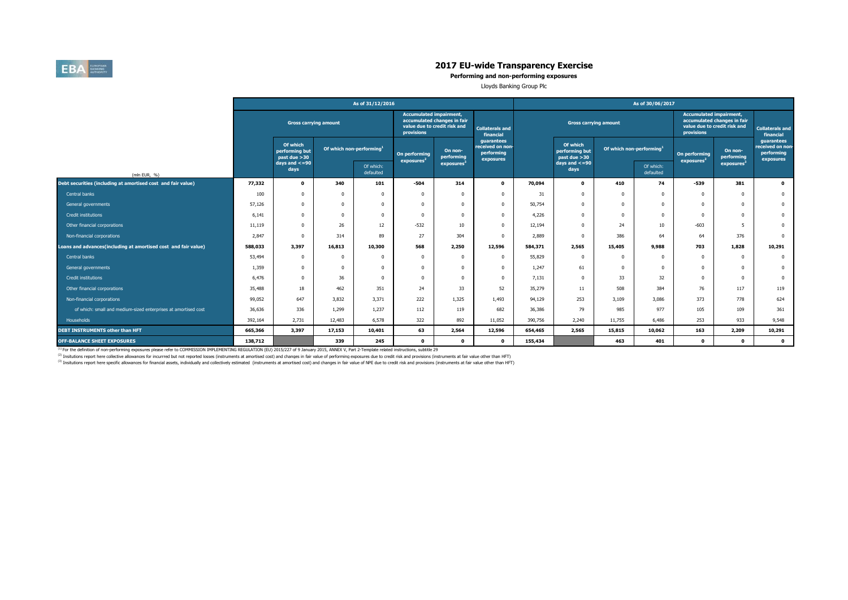

**Performing and non-performing exposures**

Lloyds Banking Group Plc

|                                                                |         |                                              |                                      | As of 31/12/2016       |                                              |                                                             |                                                           | As of 30/06/2017 |                                             |                                      |                        |                                              |                                                             |                                                           |  |  |
|----------------------------------------------------------------|---------|----------------------------------------------|--------------------------------------|------------------------|----------------------------------------------|-------------------------------------------------------------|-----------------------------------------------------------|------------------|---------------------------------------------|--------------------------------------|------------------------|----------------------------------------------|-------------------------------------------------------------|-----------------------------------------------------------|--|--|
| <b>Gross carrying amount</b>                                   |         |                                              |                                      |                        | <b>Accumulated impairment,</b><br>provisions | accumulated changes in fair<br>value due to credit risk and | <b>Collaterals and</b><br>financial                       |                  | <b>Gross carrying amount</b>                |                                      |                        | <b>Accumulated impairment,</b><br>provisions | accumulated changes in fair<br>value due to credit risk and | <b>Collaterals and</b><br>financial                       |  |  |
|                                                                |         | Of which<br>performing but<br>past due $>30$ | Of which non-performing <sup>1</sup> |                        | On performing<br>exposures <sup>2</sup>      | On non-<br>performing                                       | guarantees<br>received on non-<br>performing<br>exposures |                  | Of which<br>performing but<br>past due > 30 | Of which non-performing <sup>1</sup> |                        | On performing<br>exposures <sup>2</sup>      | On non-<br>performing                                       | guarantees<br>received on non-<br>performing<br>exposures |  |  |
| (mln EUR, %)                                                   |         | days and $\lt=90$<br>days                    |                                      | Of which:<br>defaulted |                                              | exposures <sup>3</sup>                                      |                                                           |                  | days and $\lt=90$<br>days                   |                                      | Of which:<br>defaulted |                                              | exposures                                                   |                                                           |  |  |
| Debt securities (including at amortised cost and fair value)   | 77,332  | $\mathbf 0$                                  | 340                                  | 101                    | $-504$                                       | 314                                                         | $\mathbf 0$                                               | 70,094           | $\mathbf{o}$                                | 410                                  | 74                     | $-539$                                       | 381                                                         | $\mathbf{0}$                                              |  |  |
| Central banks                                                  | 100     | 0                                            |                                      | $\Omega$               |                                              |                                                             | $\Omega$                                                  | 31               | $\Omega$                                    |                                      | $\Omega$               | $\Omega$                                     | $\Omega$                                                    | $\bf{0}$                                                  |  |  |
| General governments                                            | 57,126  | 0                                            |                                      | $\Omega$               |                                              |                                                             | $\Omega$                                                  | 50,754           | $\Omega$                                    |                                      | $\Omega$               | $\Omega$                                     | $\Omega$                                                    | $\mathbf{0}$                                              |  |  |
| Credit institutions                                            | 6,141   | <sub>0</sub>                                 |                                      | $\Omega$               |                                              |                                                             | $\Omega$                                                  | 4,226            | $\Omega$                                    |                                      | $\Omega$               | $\Omega$                                     | $\Omega$                                                    | $\mathbf 0$                                               |  |  |
| Other financial corporations                                   | 11,119  | $\Omega$                                     | 26                                   | 12                     | $-532$                                       | 10                                                          | $\Omega$                                                  | 12,194           | $\Omega$                                    | 24                                   | 10 <sup>10</sup>       | $-603$                                       | 5                                                           | $\mathbf 0$                                               |  |  |
| Non-financial corporations                                     | 2,847   | 0                                            | 314                                  | 89                     | 27                                           | 304                                                         | $\Omega$                                                  | 2,889            | $\Omega$                                    | 386                                  | 64                     | 64                                           | 376                                                         | $\mathbf{0}$                                              |  |  |
| Loans and advances(including at amortised cost and fair value) | 588,033 | 3,397                                        | 16,813                               | 10,300                 | 568                                          | 2,250                                                       | 12,596                                                    | 584,371          | 2,565                                       | 15,405                               | 9,988                  | 703                                          | 1,828                                                       | 10,291                                                    |  |  |
| Central banks                                                  | 53,494  | 0                                            | $\Omega$                             | $\Omega$               | $\Omega$                                     | $\Omega$                                                    | $^{\circ}$                                                | 55,829           | $\Omega$                                    | n                                    | $\Omega$               | $^{\circ}$                                   | $\overline{0}$                                              | $\mathbf 0$                                               |  |  |
| General governments                                            | 1,359   | 0                                            |                                      | $\Omega$               | $\Omega$                                     | $\Omega$                                                    | $^{\circ}$                                                | 1,247            | 61                                          |                                      | $\Omega$               | $^{\circ}$                                   | $\overline{0}$                                              | $\mathbf 0$                                               |  |  |
| Credit institutions                                            | 6,476   | 0                                            | 36                                   | $\Omega$               | $\Omega$                                     |                                                             | $\Omega$                                                  | 7,131            | $\Omega$                                    | 33                                   | 32                     | $\Omega$                                     | $\Omega$                                                    | $\mathbf 0$                                               |  |  |
| Other financial corporations                                   | 35,488  | 18                                           | 462                                  | 351                    | 24                                           | 33                                                          | 52                                                        | 35,279           | 11                                          | 508                                  | 384                    | 76                                           | 117                                                         | 119                                                       |  |  |
| Non-financial corporations                                     | 99,052  | 647                                          | 3,832                                | 3,371                  | 222                                          | 1,325                                                       | 1,493                                                     | 94,129           | 253                                         | 3,109                                | 3,086                  | 373                                          | 778                                                         | 624                                                       |  |  |
| of which: small and medium-sized enterprises at amortised cost | 36,636  | 336                                          | 1,299                                | 1,237                  | 112                                          | 119                                                         | 682                                                       | 36,386           | 79                                          | 985                                  | 977                    | 105                                          | 109                                                         | 361                                                       |  |  |
| Households                                                     | 392,164 | 2,731                                        | 12,483                               | 6,578                  | 322                                          | 892                                                         | 11,052                                                    | 390,756          | 2,240                                       | 11,755                               | 6,486                  | 253                                          | 933                                                         | 9,548                                                     |  |  |
| DEBT INSTRUMENTS other than HFT                                | 665,366 | 3,397                                        | 17,153                               | 10,401                 | 63                                           | 2,564                                                       | 12,596                                                    | 654,465          | 2,565                                       | 15,815                               | 10,062                 | 163                                          | 2,209                                                       | 10,291                                                    |  |  |
| <b>OFF-BALANCE SHEET EXPOSURES</b>                             | 138,712 |                                              | 339                                  | 245                    | $^{\circ}$                                   | $\Omega$                                                    | $\mathbf{0}$                                              | 155,434          |                                             | 463                                  | 401                    | $\Omega$                                     | $\mathbf{0}$                                                | $\bullet$                                                 |  |  |

<sup>(1)</sup> For the definition of non-performing exposures please refer to COMMISSION IMPLEMENTING REGULATION (EU) 2015/227 of 9 January 2015, ANNEX V, Part 2-Template related instructions, subtitle 29

<sup>(2)</sup> Insitutions report here collective allowances for incurrred but not reported losses (instruments at amortised cost) and changes in fair value of performing exposures due to credit risk and provisions (instruments at

<sup>(3)</sup> Insitutions report here specific allowances for financial assets, individually and collectively estimated (instruments at amortised cost) and changes in fair value of NPE due to credit risk and provisions (instrument